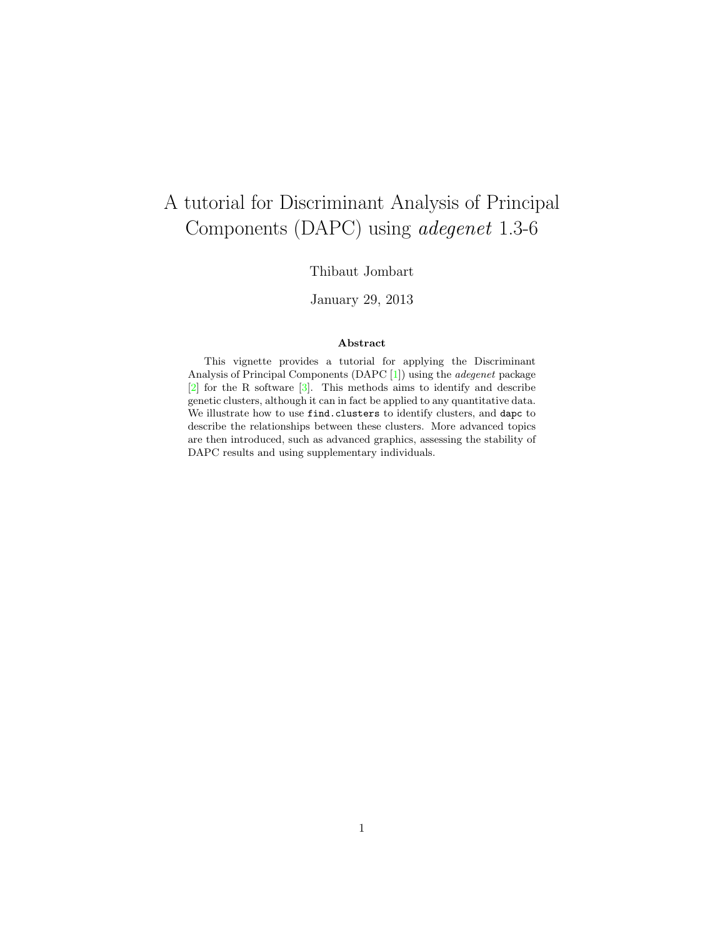# A tutorial for Discriminant Analysis of Principal Components (DAPC) using adegenet 1.3-6

## Thibaut Jombart

## January 29, 2013

#### Abstract

This vignette provides a tutorial for applying the Discriminant Analysis of Principal Components (DAPC [\[1\]](#page-33-0)) using the adegenet package [\[2\]](#page-34-0) for the R software [\[3\]](#page-34-1). This methods aims to identify and describe genetic clusters, although it can in fact be applied to any quantitative data. We illustrate how to use find.clusters to identify clusters, and dapc to describe the relationships between these clusters. More advanced topics are then introduced, such as advanced graphics, assessing the stability of DAPC results and using supplementary individuals.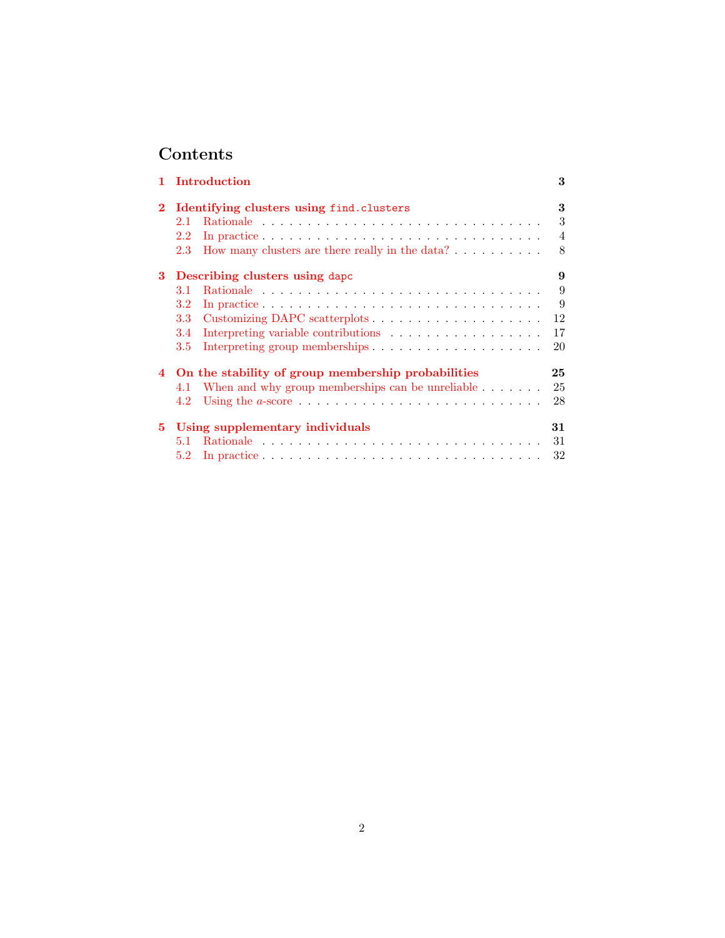# Contents

|                | Introduction                                                          | 3  |
|----------------|-----------------------------------------------------------------------|----|
|                | Identifying clusters using find.clusters                              | 3  |
|                | 2.1                                                                   | 3  |
|                | $2.2\,$                                                               | 4  |
|                | How many clusters are there really in the data? $\ldots$<br>2.3       | 8  |
| 3              | Describing clusters using dapc                                        | 9  |
|                | 3.1                                                                   | 9  |
|                | $3.2\,$                                                               | 9  |
|                | 3.3                                                                   | 12 |
|                | 3.4                                                                   | 17 |
|                | $3.5\,$                                                               | 20 |
| $\overline{4}$ | On the stability of group membership probabilities                    | 25 |
|                | When and why group memberships can be unreliable $\dots \dots$<br>4.1 | 25 |
|                | 4.2                                                                   | 28 |
| 5.             | Using supplementary individuals                                       | 31 |
|                | 5.1                                                                   | 31 |
|                | 5.2                                                                   | 32 |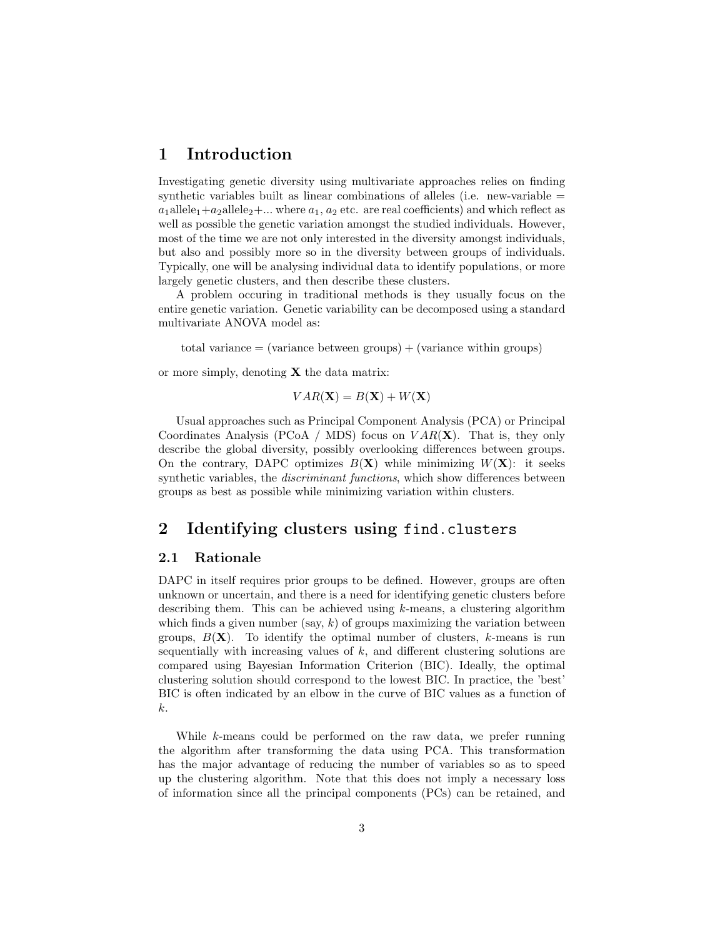## <span id="page-2-0"></span>1 Introduction

Investigating genetic diversity using multivariate approaches relies on finding synthetic variables built as linear combinations of alleles (i.e. new-variable  $=$  $a_1$ allele<sub>1</sub>+a<sub>2</sub>allele<sub>2</sub>+... where  $a_1, a_2$  etc. are real coefficients) and which reflect as well as possible the genetic variation amongst the studied individuals. However, most of the time we are not only interested in the diversity amongst individuals, but also and possibly more so in the diversity between groups of individuals. Typically, one will be analysing individual data to identify populations, or more largely genetic clusters, and then describe these clusters.

A problem occuring in traditional methods is they usually focus on the entire genetic variation. Genetic variability can be decomposed using a standard multivariate ANOVA model as:

total variance  $=$  (variance between groups)  $+$  (variance within groups)

or more simply, denoting  $X$  the data matrix:

$$
VAR(\mathbf{X}) = B(\mathbf{X}) + W(\mathbf{X})
$$

Usual approaches such as Principal Component Analysis (PCA) or Principal Coordinates Analysis (PCoA / MDS) focus on  $VAR(X)$ . That is, they only describe the global diversity, possibly overlooking differences between groups. On the contrary, DAPC optimizes  $B(X)$  while minimizing  $W(X)$ : it seeks synthetic variables, the *discriminant functions*, which show differences between groups as best as possible while minimizing variation within clusters.

## <span id="page-2-1"></span>2 Identifying clusters using find.clusters

## <span id="page-2-2"></span>2.1 Rationale

DAPC in itself requires prior groups to be defined. However, groups are often unknown or uncertain, and there is a need for identifying genetic clusters before describing them. This can be achieved using  $k$ -means, a clustering algorithm which finds a given number (say,  $k$ ) of groups maximizing the variation between groups,  $B(\mathbf{X})$ . To identify the optimal number of clusters, k-means is run sequentially with increasing values of  $k$ , and different clustering solutions are compared using Bayesian Information Criterion (BIC). Ideally, the optimal clustering solution should correspond to the lowest BIC. In practice, the 'best' BIC is often indicated by an elbow in the curve of BIC values as a function of k.

While k-means could be performed on the raw data, we prefer running the algorithm after transforming the data using PCA. This transformation has the major advantage of reducing the number of variables so as to speed up the clustering algorithm. Note that this does not imply a necessary loss of information since all the principal components (PCs) can be retained, and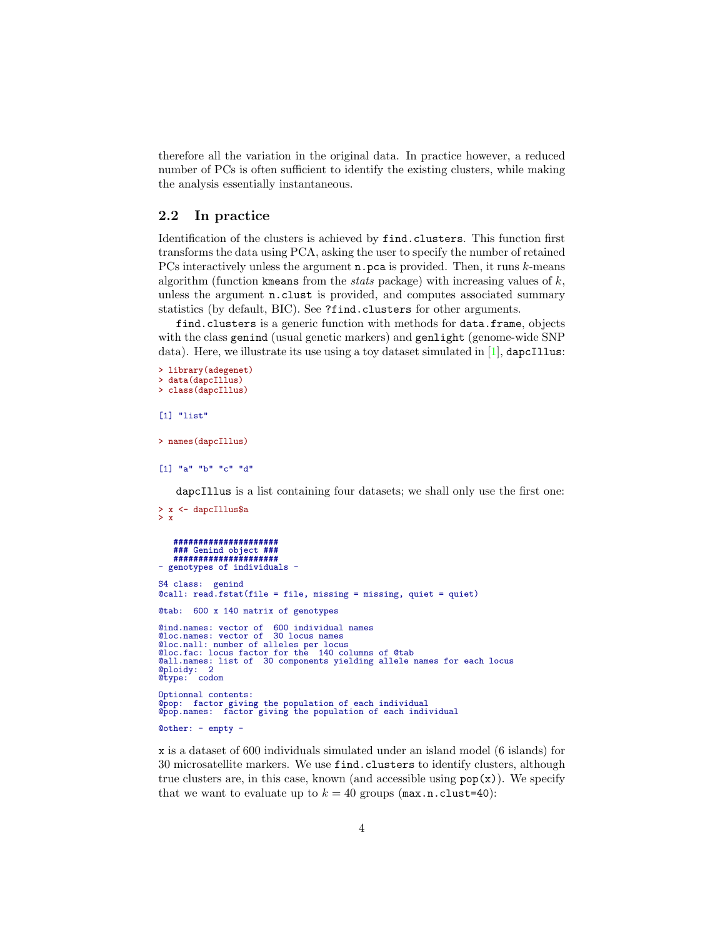therefore all the variation in the original data. In practice however, a reduced number of PCs is often sufficient to identify the existing clusters, while making the analysis essentially instantaneous.

### <span id="page-3-0"></span>2.2 In practice

Identification of the clusters is achieved by find.clusters. This function first transforms the data using PCA, asking the user to specify the number of retained PCs interactively unless the argument **n**.pca is provided. Then, it runs k-means algorithm (function kmeans from the *stats* package) with increasing values of  $k$ , unless the argument n.clust is provided, and computes associated summary statistics (by default, BIC). See ?find.clusters for other arguments.

find.clusters is a generic function with methods for data.frame, objects with the class genind (usual genetic markers) and genlight (genome-wide SNP data). Here, we illustrate its use using a toy dataset simulated in [\[1\]](#page-33-0), dapcIllus:

```
> library(adegenet)
> data(dapcIllus)
> class(dapcIllus)
[1] "list"
> names(dapcIllus)
[1] "a" "b" "c" "d"
    dapcIllus is a list containing four datasets; we shall only use the first one:
> x <- dapcIllus$a
> x
    #####################
    ### Genind object ###
#####################
- genotypes of individuals -
S4 class: genind
@call: read.fstat(file = file, missing = missing, quiet = quiet)
@tab: 600 x 140 matrix of genotypes
@ind.names: vector of 600 individual names
@loc.names: vector of 30 locus names
@loc.nall: number of alleles per locus
@loc.fac: locus factor for the 140 columns of @tab
@all.names: list of 30 components yielding allele names for each locus
@ploidy: 2
@type: codom
Optionnal contents:
@pop: factor giving the population of each individual
@pop.names: factor giving the population of each individual
```
@other: - empty -

x is a dataset of 600 individuals simulated under an island model (6 islands) for 30 microsatellite markers. We use find.clusters to identify clusters, although true clusters are, in this case, known (and accessible using  $pop(x)$ ). We specify that we want to evaluate up to  $k = 40$  groups (max.n.clust=40):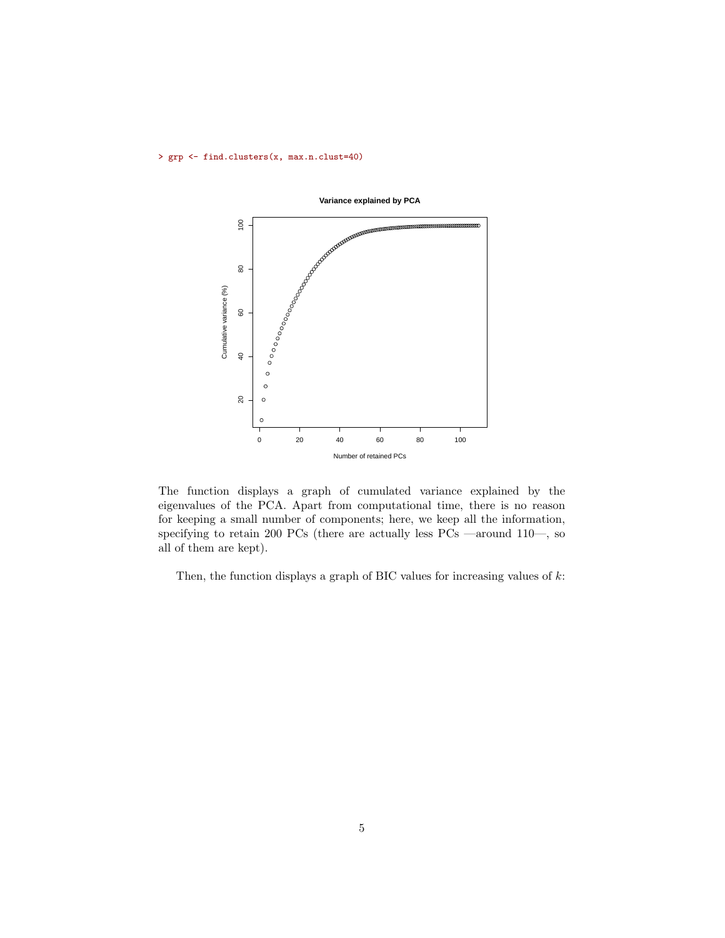> grp <- find.clusters(x, max.n.clust=40)



**Variance explained by PCA**

The function displays a graph of cumulated variance explained by the eigenvalues of the PCA. Apart from computational time, there is no reason for keeping a small number of components; here, we keep all the information, specifying to retain 200 PCs (there are actually less PCs —around 110—, so all of them are kept).

Then, the function displays a graph of BIC values for increasing values of  $k$ :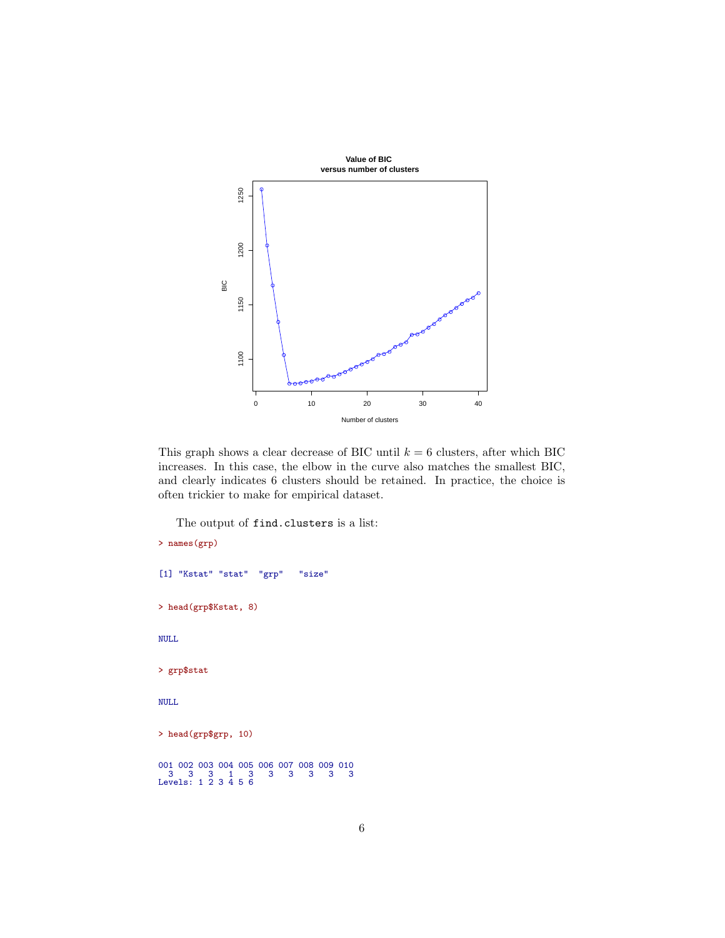

This graph shows a clear decrease of BIC until  $k = 6$  clusters, after which BIC increases. In this case, the elbow in the curve also matches the smallest BIC, and clearly indicates 6 clusters should be retained. In practice, the choice is often trickier to make for empirical dataset.

The output of find.clusters is a list:

```
> names(grp)
[1] "Kstat" "stat" "grp" "size"
> head(grp$Kstat, 8)
NULL
> grp$stat
NULL
> head(grp$grp, 10)
001 002 003 004 005 006 007 008 009 010
3 3 3 1 3 3 3 3 3 3
Levels: 1 2 3 4 5 6
```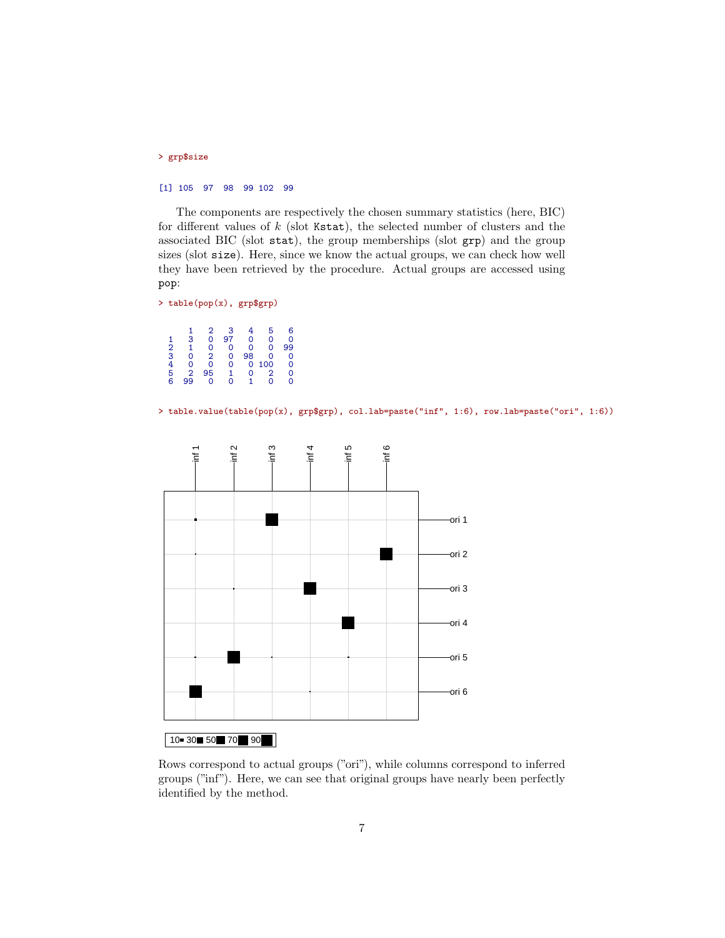### > grp\$size

#### [1] 105 97 98 99 102 99

The components are respectively the chosen summary statistics (here, BIC) for different values of  $k$  (slot Kstat), the selected number of clusters and the associated BIC (slot stat), the group memberships (slot grp) and the group sizes (slot size). Here, since we know the actual groups, we can check how well they have been retrieved by the procedure. Actual groups are accessed using pop:

```
> table(pop(x), grp$grp)
```
 $\begin{array}{cccccccc} 1 & 2 & 3 & 4 & 5 & 6 \ 2 & 1 & 0 & 0 & 0 & 0 & 99 \ 3 & 0 & 2 & 0 & 98 & 0 & 0 \ 4 & 0 & 0 & 0 & 100 & 0 & 0 \ 5 & 2 & 95 & 1 & 0 & 1 & 0 & 0 \ 6 & 99 & 0 & 0 & 1 & 0 & 0 \end{array}$ 

> table.value(table(pop(x), grp\$grp), col.lab=paste("inf", 1:6), row.lab=paste("ori", 1:6))



## $10 - 30$  50 70 90

Rows correspond to actual groups ("ori"), while columns correspond to inferred groups ("inf"). Here, we can see that original groups have nearly been perfectly identified by the method.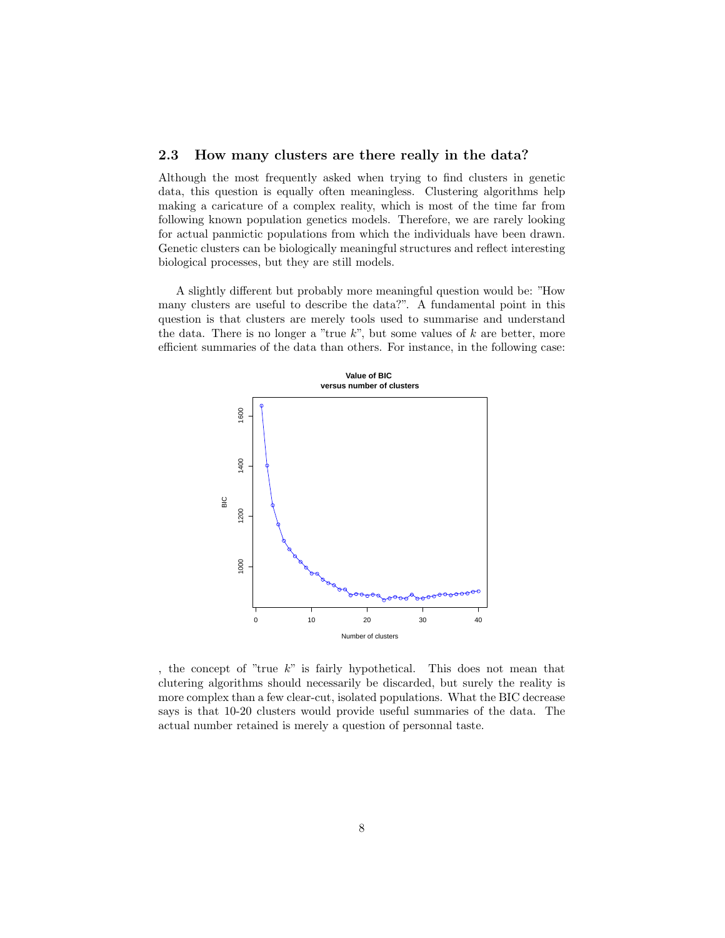### <span id="page-7-0"></span>2.3 How many clusters are there really in the data?

Although the most frequently asked when trying to find clusters in genetic data, this question is equally often meaningless. Clustering algorithms help making a caricature of a complex reality, which is most of the time far from following known population genetics models. Therefore, we are rarely looking for actual panmictic populations from which the individuals have been drawn. Genetic clusters can be biologically meaningful structures and reflect interesting biological processes, but they are still models.

A slightly different but probably more meaningful question would be: "How many clusters are useful to describe the data?". A fundamental point in this question is that clusters are merely tools used to summarise and understand the data. There is no longer a "true  $k$ ", but some values of  $k$  are better, more efficient summaries of the data than others. For instance, in the following case:



, the concept of "true  $k$ " is fairly hypothetical. This does not mean that clutering algorithms should necessarily be discarded, but surely the reality is more complex than a few clear-cut, isolated populations. What the BIC decrease says is that 10-20 clusters would provide useful summaries of the data. The actual number retained is merely a question of personnal taste.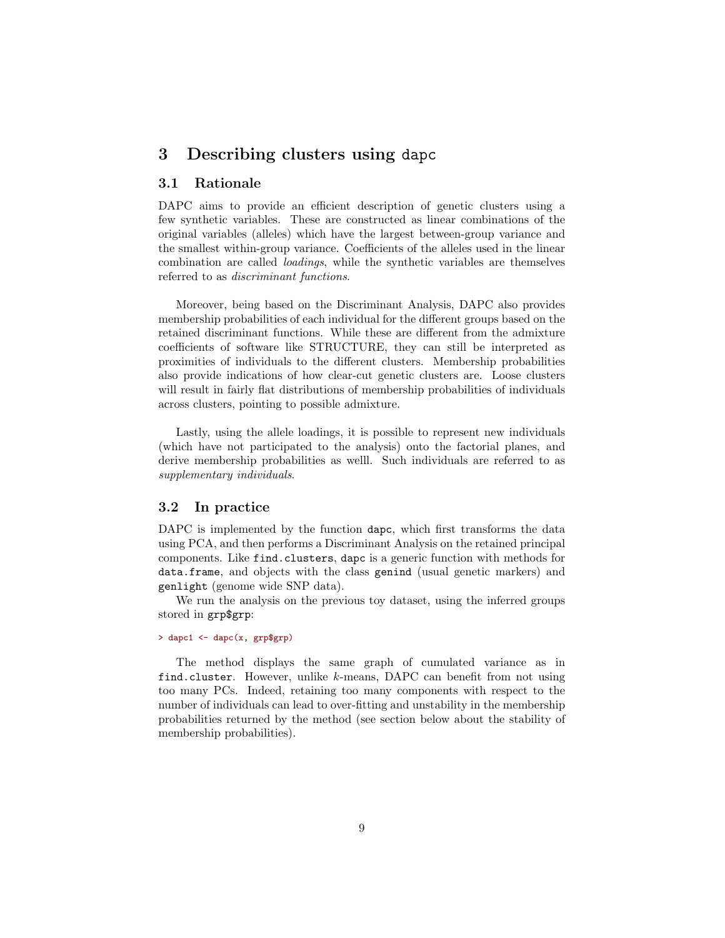## <span id="page-8-0"></span>3 Describing clusters using dapc

## <span id="page-8-1"></span>3.1 Rationale

DAPC aims to provide an efficient description of genetic clusters using a few synthetic variables. These are constructed as linear combinations of the original variables (alleles) which have the largest between-group variance and the smallest within-group variance. Coefficients of the alleles used in the linear combination are called loadings, while the synthetic variables are themselves referred to as discriminant functions.

Moreover, being based on the Discriminant Analysis, DAPC also provides membership probabilities of each individual for the different groups based on the retained discriminant functions. While these are different from the admixture coefficients of software like STRUCTURE, they can still be interpreted as proximities of individuals to the different clusters. Membership probabilities also provide indications of how clear-cut genetic clusters are. Loose clusters will result in fairly flat distributions of membership probabilities of individuals across clusters, pointing to possible admixture.

Lastly, using the allele loadings, it is possible to represent new individuals (which have not participated to the analysis) onto the factorial planes, and derive membership probabilities as welll. Such individuals are referred to as supplementary individuals.

### <span id="page-8-2"></span>3.2 In practice

DAPC is implemented by the function dapc, which first transforms the data using PCA, and then performs a Discriminant Analysis on the retained principal components. Like find.clusters, dapc is a generic function with methods for data.frame, and objects with the class genind (usual genetic markers) and genlight (genome wide SNP data).

We run the analysis on the previous toy dataset, using the inferred groups stored in grp\$grp:

### $>$  dapc1 <- dapc(x, grp\$grp)

The method displays the same graph of cumulated variance as in find.cluster. However, unlike k-means, DAPC can benefit from not using too many PCs. Indeed, retaining too many components with respect to the number of individuals can lead to over-fitting and unstability in the membership probabilities returned by the method (see section below about the stability of membership probabilities).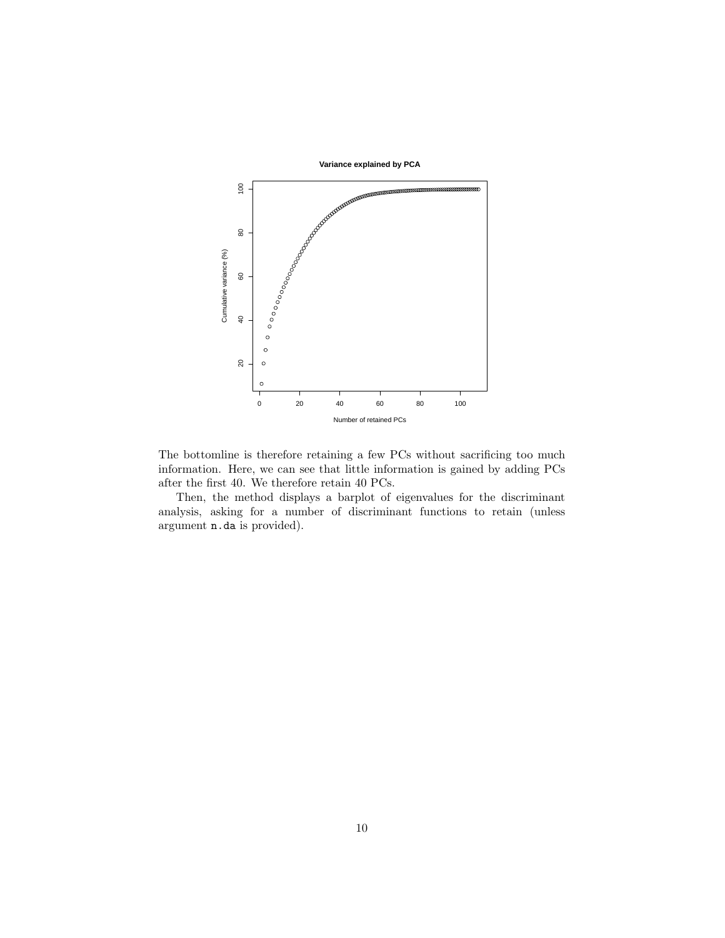

The bottomline is therefore retaining a few PCs without sacrificing too much information. Here, we can see that little information is gained by adding PCs after the first 40. We therefore retain 40 PCs.

Then, the method displays a barplot of eigenvalues for the discriminant analysis, asking for a number of discriminant functions to retain (unless argument n.da is provided).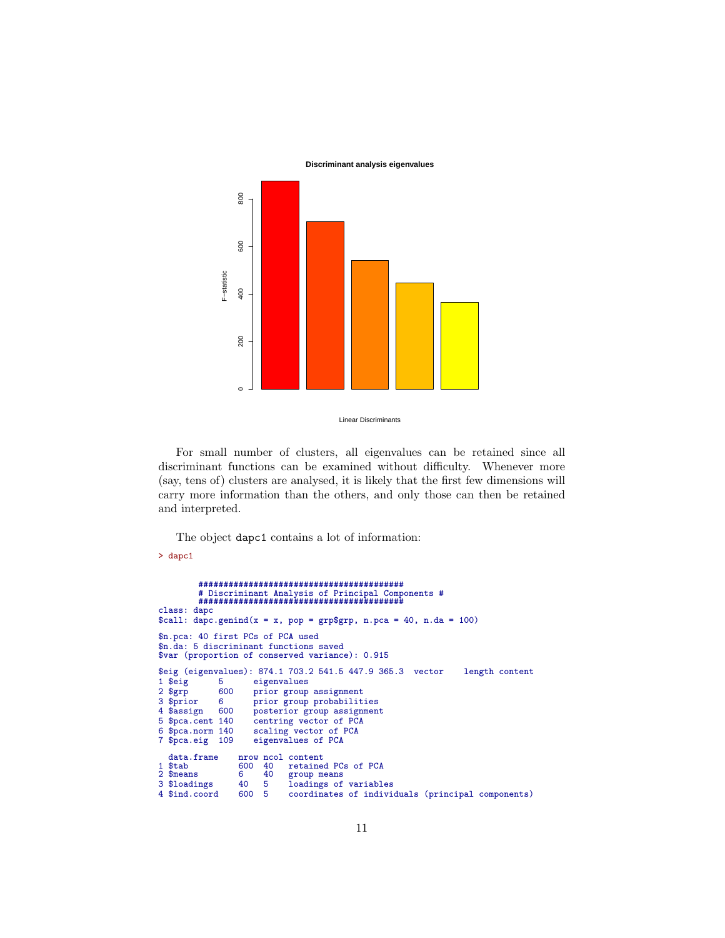**Discriminant analysis eigenvalues**



Linear Discriminants

For small number of clusters, all eigenvalues can be retained since all discriminant functions can be examined without difficulty. Whenever more (say, tens of) clusters are analysed, it is likely that the first few dimensions will carry more information than the others, and only those can then be retained and interpreted.

The object dapc1 contains a lot of information:

#### > dapc1

```
#########################################
           # Discriminant Analysis of Principal Components #
#########################################
class: dapc
\lambda apc.genind(x = x, pop = grp$grp, n.pca = 40, n.da = 100)
$n.pca: 40 first PCs of PCA used
$n.da: 5 discriminant functions saved
$var (proportion of conserved variance): 0.915
$eig (eigenvalues): 874.1 703.2 541.5 447.9 365.3 vector length content
1 $eig 5 eigenvalues<br>2 $grp 600 prior group
2 $grp 600 prior group assignment<br>3 $prior 6 prior group probabilit
3 $prior 6 prior group probabilities<br>4 $assign 600 posterior group assignmen
4 $assign 600 posterior group assignment<br>5 $pca.cent 140 centring vector of PCA
5 $pca.cent 140 centring vector of PCA<br>6 $pca.norm 140 scaling vector of PCA
6 $pca.norm 140 scaling vector of PCA<br>7 $pca.eig 109 eigenvalues of PCA
                          eigenvalues of PCA
data.frame nrow ncol content<br>1 $tab 600 40 retaine
1 $tab 600 40 retained PCs of PCA<br>2 $means 6 40 group means
2 $means 6 40 group means<br>3 $loadings 40 5 loadings of
3 $loadings 40 5 loadings of variables<br>4 $ind.coord 600 5 coordinates of indivi-
                                    coordinates of individuals (principal components)
```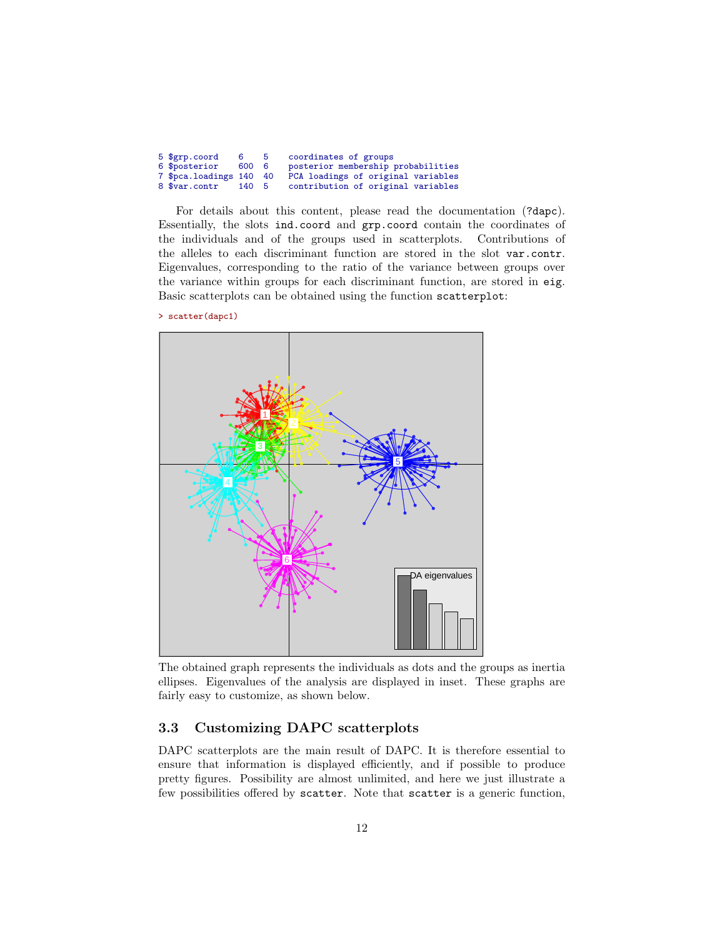| 5 \$grp.coord           | 65    | coordinates of groups              |
|-------------------------|-------|------------------------------------|
| 6 \$posterior           | 600 6 | posterior membership probabilities |
| 7 \$pca.loadings 140 40 |       | PCA loadings of original variables |
| 8 \$var.contr           | 140 5 | contribution of original variables |

For details about this content, please read the documentation (?dapc). Essentially, the slots ind.coord and grp.coord contain the coordinates of the individuals and of the groups used in scatterplots. Contributions of the alleles to each discriminant function are stored in the slot var.contr. Eigenvalues, corresponding to the ratio of the variance between groups over the variance within groups for each discriminant function, are stored in eig. Basic scatterplots can be obtained using the function scatterplot:

> scatter(dapc1)



The obtained graph represents the individuals as dots and the groups as inertia ellipses. Eigenvalues of the analysis are displayed in inset. These graphs are fairly easy to customize, as shown below.

## <span id="page-11-0"></span>3.3 Customizing DAPC scatterplots

DAPC scatterplots are the main result of DAPC. It is therefore essential to ensure that information is displayed efficiently, and if possible to produce pretty figures. Possibility are almost unlimited, and here we just illustrate a few possibilities offered by scatter. Note that scatter is a generic function,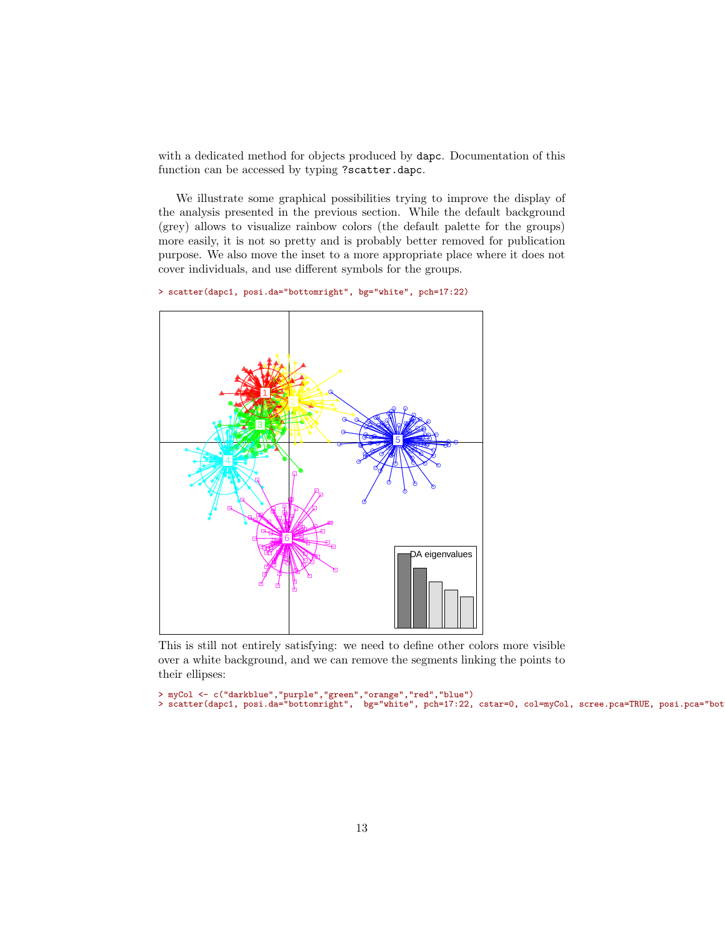with a dedicated method for objects produced by dapc. Documentation of this function can be accessed by typing ?scatter.dapc.

We illustrate some graphical possibilities trying to improve the display of the analysis presented in the previous section. While the default background (grey) allows to visualize rainbow colors (the default palette for the groups) more easily, it is not so pretty and is probably better removed for publication purpose. We also move the inset to a more appropriate place where it does not cover individuals, and use different symbols for the groups.

> scatter(dapc1, posi.da="bottomright", bg="white", pch=17:22)



This is still not entirely satisfying: we need to define other colors more visible over a white background, and we can remove the segments linking the points to their ellipses:

> myCol <- c("darkblue","purple","green","orange","red","blue") > scatter(dapc1, posi.da="bottomright", bg="white", pch=17:22, cstar=0, col=myCol, scree.pca=TRUE, posi.pca="bottomleft")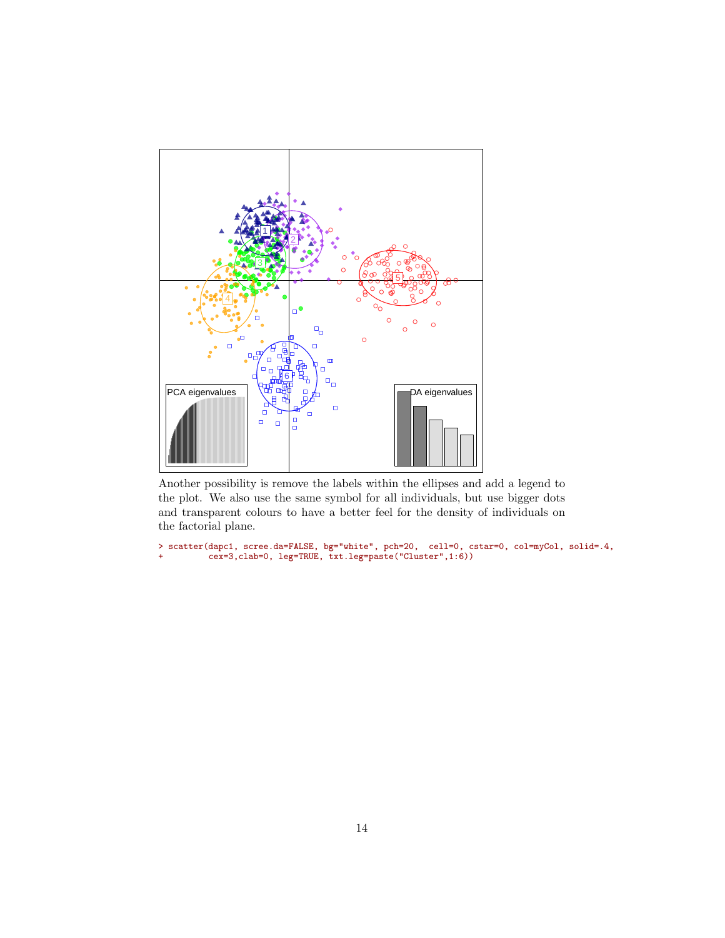

Another possibility is remove the labels within the ellipses and add a legend to the plot. We also use the same symbol for all individuals, but use bigger dots and transparent colours to have a better feel for the density of individuals on the factorial plane.

> scatter(dapc1, scree.da=FALSE, bg="white", pch=20, cell=0, cstar=0, col=myCol, solid=.4, + cex=3,clab=0, leg=TRUE, txt.leg=paste("Cluster",1:6))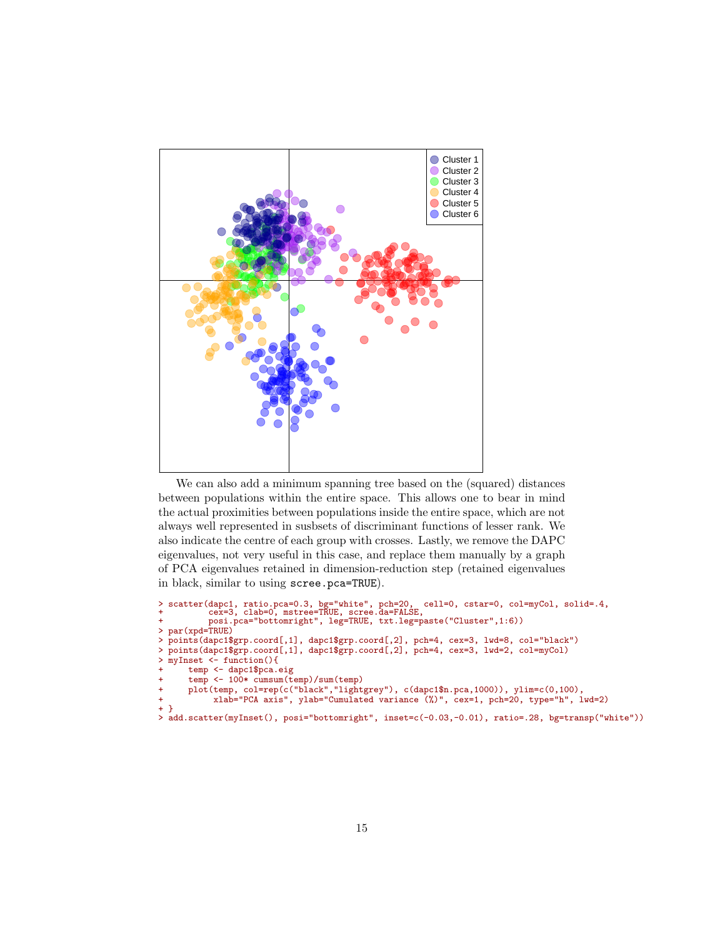

We can also add a minimum spanning tree based on the (squared) distances between populations within the entire space. This allows one to bear in mind the actual proximities between populations inside the entire space, which are not always well represented in susbsets of discriminant functions of lesser rank. We also indicate the centre of each group with crosses. Lastly, we remove the DAPC eigenvalues, not very useful in this case, and replace them manually by a graph of PCA eigenvalues retained in dimension-reduction step (retained eigenvalues in black, similar to using scree.pca=TRUE).

```
> scatter(dapc1, ratio.pca=0.3, bg="white", pch=20, cell=0, cstar=0, col=myCol, solid=.4,
+ cex=3, clab=0, mstree=TRUE, scree.da=FALSE,
+ posi.pca="bottomright", leg=TRUE, txt.leg=paste("Cluster",1:6))
> par(xpd=TRUE)
> points(dapc1$grp.coord[,1], dapc1$grp.coord[,2], pch=4, cex=3, lwd=8, col="black")
  > points(dapc1$grp.coord[,1], dapc1$grp.coord[,2], pch=4, cex=3, lwd=2, col=myCol)
> myInset <- function(){
       temp <- dapc1$pca.eig
       temp <- 100* cumsum(temp)/sum(temp)
       plot(temp, col=rep(c("black","lightgrey"), c(dapc1$n.pca,1000)), ylim=c(0,100),
             + xlab="PCA axis", ylab="Cumulated variance (%)", cex=1, pch=20, type="h", lwd=2)
+ }
> add.scatter(myInset(), posi="bottomright", inset=c(-0.03,-0.01), ratio=.28, bg=transp("white"))
```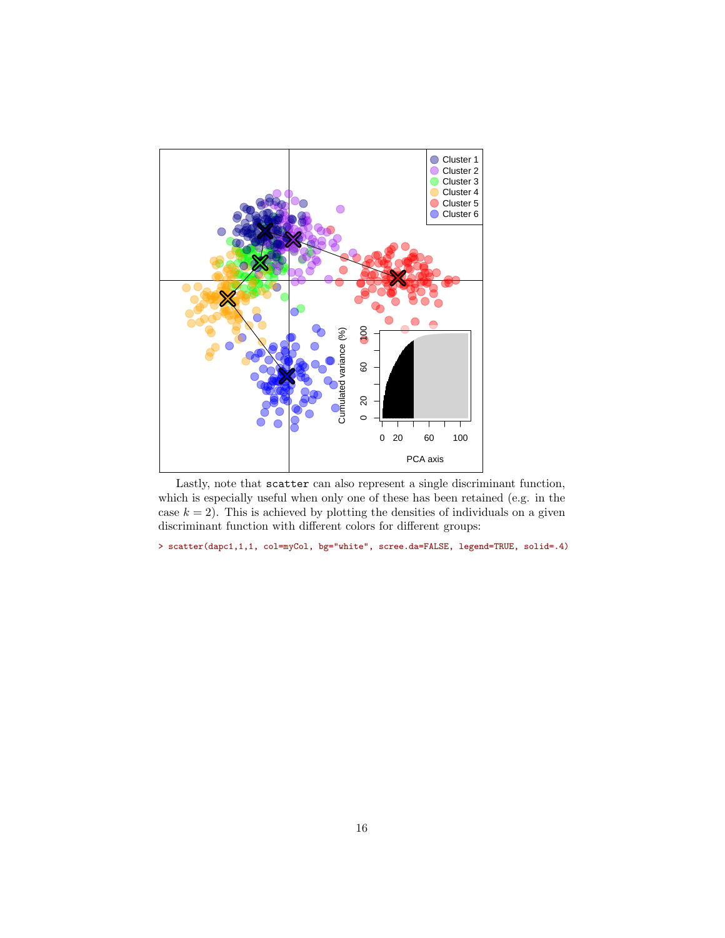

Lastly, note that scatter can also represent a single discriminant function, which is especially useful when only one of these has been retained (e.g. in the case  $k = 2$ ). This is achieved by plotting the densities of individuals on a given discriminant function with different colors for different groups:

> scatter(dapc1,1,1, col=myCol, bg="white", scree.da=FALSE, legend=TRUE, solid=.4)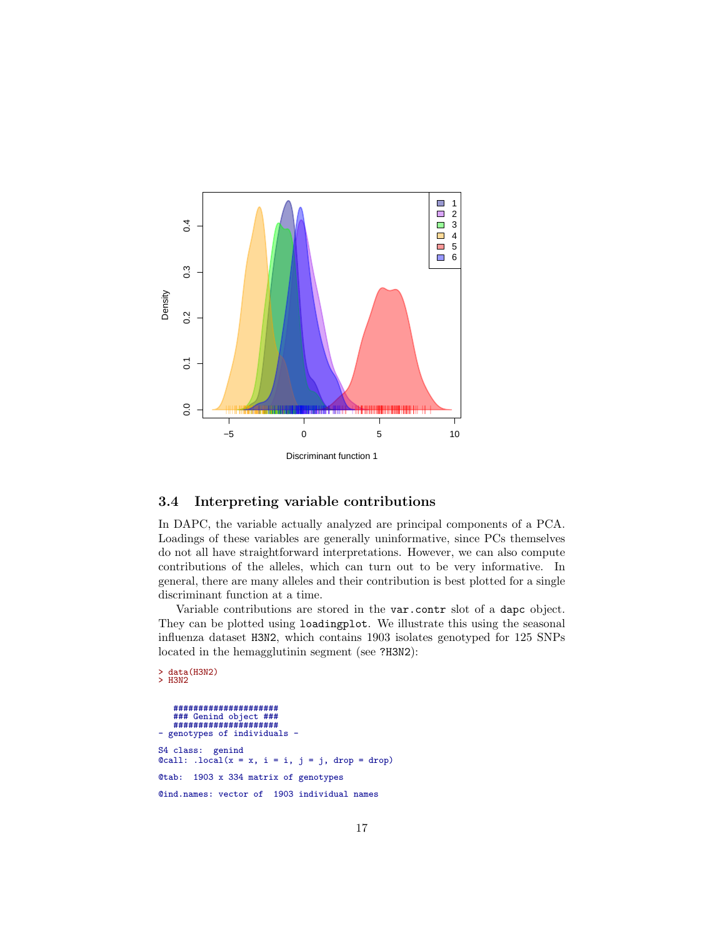

## <span id="page-16-0"></span>3.4 Interpreting variable contributions

In DAPC, the variable actually analyzed are principal components of a PCA. Loadings of these variables are generally uninformative, since PCs themselves do not all have straightforward interpretations. However, we can also compute contributions of the alleles, which can turn out to be very informative. In general, there are many alleles and their contribution is best plotted for a single discriminant function at a time.

Variable contributions are stored in the var.contr slot of a dapc object. They can be plotted using loadingplot. We illustrate this using the seasonal influenza dataset H3N2, which contains 1903 isolates genotyped for 125 SNPs located in the hemagglutinin segment (see ?H3N2):

> data(H3N2) > H3N2

```
#####################
### Genind object ###
   #####################
- genotypes of individuals -
S4 class: genind
\texttt{Qcall: } . \texttt{local}(x = x, i = i, j = j, \text{ drop} = \text{drop})@tab: 1903 x 334 matrix of genotypes
@ind.names: vector of 1903 individual names
```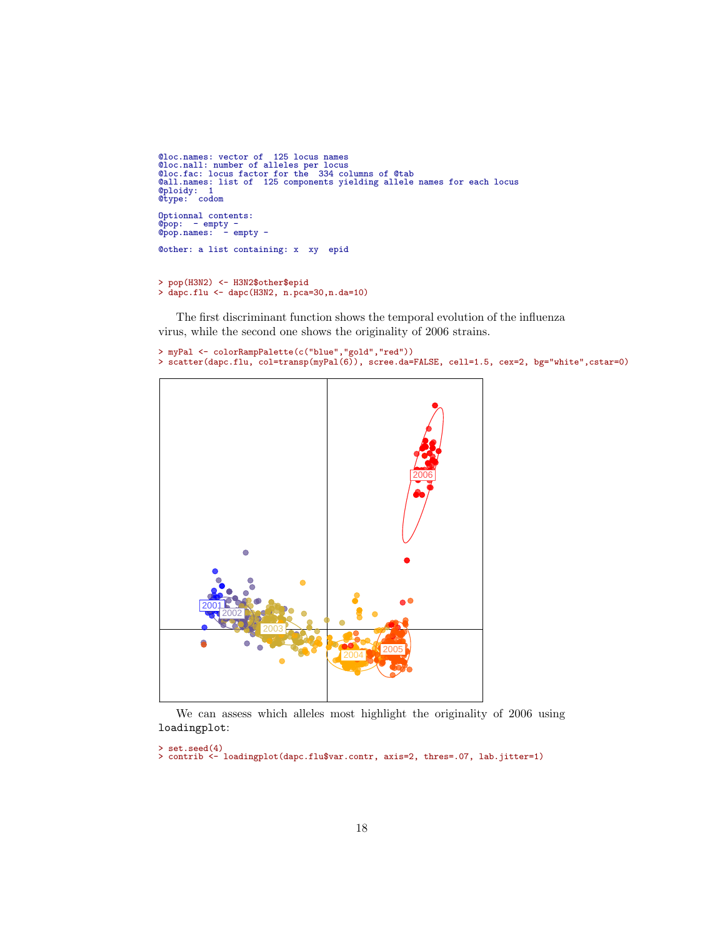```
@loc.names: vector of 125 locus names
@loc.nall: number of alleles per locus
@loc.fac: locus factor for the 334 columns of @tab
@all.names: list of 125 components yielding allele names for each locus
@ploidy: 1
@type: codom
 Optionnal contents:
@pop: - empty -
@pop.names: - empty -
@other: a list containing: x xy epid
```

```
> pop(H3N2) <- H3N2$other$epid
> dapc.flu <- dapc(H3N2, n.pca=30,n.da=10)
```
The first discriminant function shows the temporal evolution of the influenza virus, while the second one shows the originality of 2006 strains.

```
> myPal <- colorRampPalette(c("blue","gold","red"))
> scatter(dapc.flu, col=transp(myPal(6)), scree.da=FALSE, cell=1.5, cex=2, bg="white",cstar=0)
```


We can assess which alleles most highlight the originality of 2006 using loadingplot:

> set.seed(4) > contrib <- loadingplot(dapc.flu\$var.contr, axis=2, thres=.07, lab.jitter=1)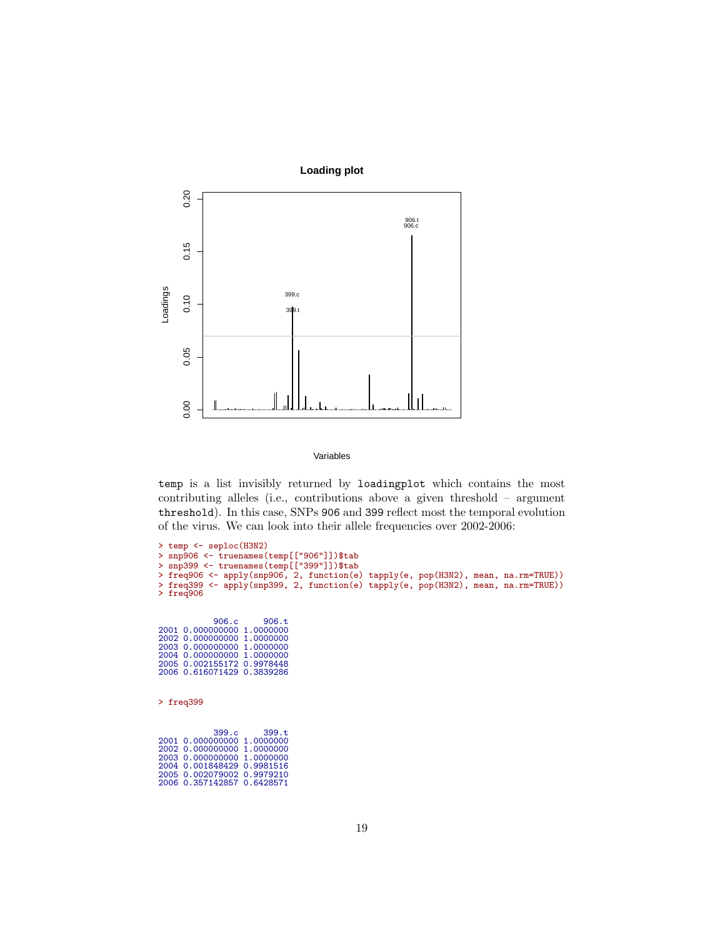

Variables

temp is a list invisibly returned by loadingplot which contains the most contributing alleles (i.e., contributions above a given threshold – argument threshold). In this case, SNPs 906 and 399 reflect most the temporal evolution of the virus. We can look into their allele frequencies over 2002-2006:

```
> temp <- seploc(H3N2)
> snp906 <- truenames(temp[["906"]])$tab
> snp399 <- truenames(temp[["399"]])$tab
> freq906 <- apply(snp906, 2, function(e) tapply(e, pop(H3N2), mean, na.rm=TRUE))
> freq399 <- apply(snp399, 2, function(e) tapply(e, pop(H3N2), mean, na.rm=TRUE))
> freq906
906.c 906.t
2001 0.000000000 1.0000000
2002 0.000000000 1.0000000
2003 0.000000000 1.0000000
2004 0.000000000 1.0000000
2005 0.002155172 0.9978448
2006 0.616071429 0.3839286
> freq399
399.c 399.t
2001 0.000000000 1.0000000
2002 0.000000000 1.0000000
2003 0.000000000 1.0000000
2004 0.001848429 0.9981516
2005 0.002079002 0.9979210
2006 0.357142857 0.6428571
```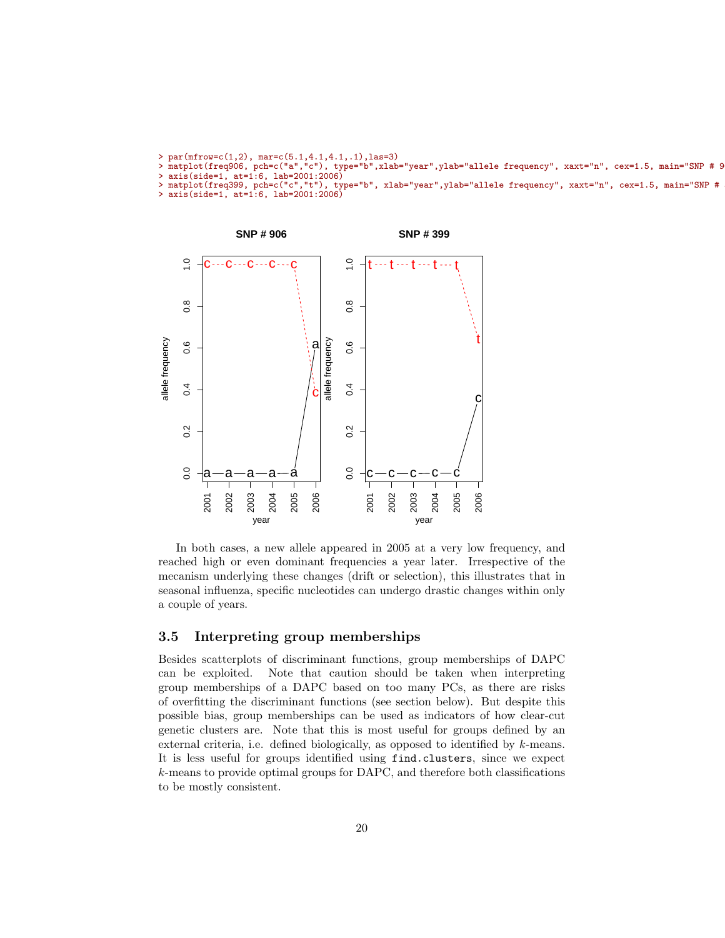```
> par(mfrow=c(1,2), mar=c(5.1,4.1,4.1,.1), las=3)
```

```
> matplot(freq906, pch=c("a","c"), type="b",xlab="year",ylab="allele frequency", xaxt="n", cex=1.5, main="SNP # 9
> axis(side=1, at=1:6, lab=2001:2006)<br>> matplot(freq399, pch=c("c","t"), type="b", xlab="year",ylab="allele frequency", xaxt="n", cex=1.5, main="SNP #
```
<sup>&</sup>gt; axis(side=1, at=1:6, lab=2001:2006)



In both cases, a new allele appeared in 2005 at a very low frequency, and reached high or even dominant frequencies a year later. Irrespective of the mecanism underlying these changes (drift or selection), this illustrates that in seasonal influenza, specific nucleotides can undergo drastic changes within only a couple of years.

## <span id="page-19-0"></span>3.5 Interpreting group memberships

Besides scatterplots of discriminant functions, group memberships of DAPC can be exploited. Note that caution should be taken when interpreting group memberships of a DAPC based on too many PCs, as there are risks of overfitting the discriminant functions (see section below). But despite this possible bias, group memberships can be used as indicators of how clear-cut genetic clusters are. Note that this is most useful for groups defined by an external criteria, i.e. defined biologically, as opposed to identified by k-means. It is less useful for groups identified using find.clusters, since we expect k-means to provide optimal groups for DAPC, and therefore both classifications to be mostly consistent.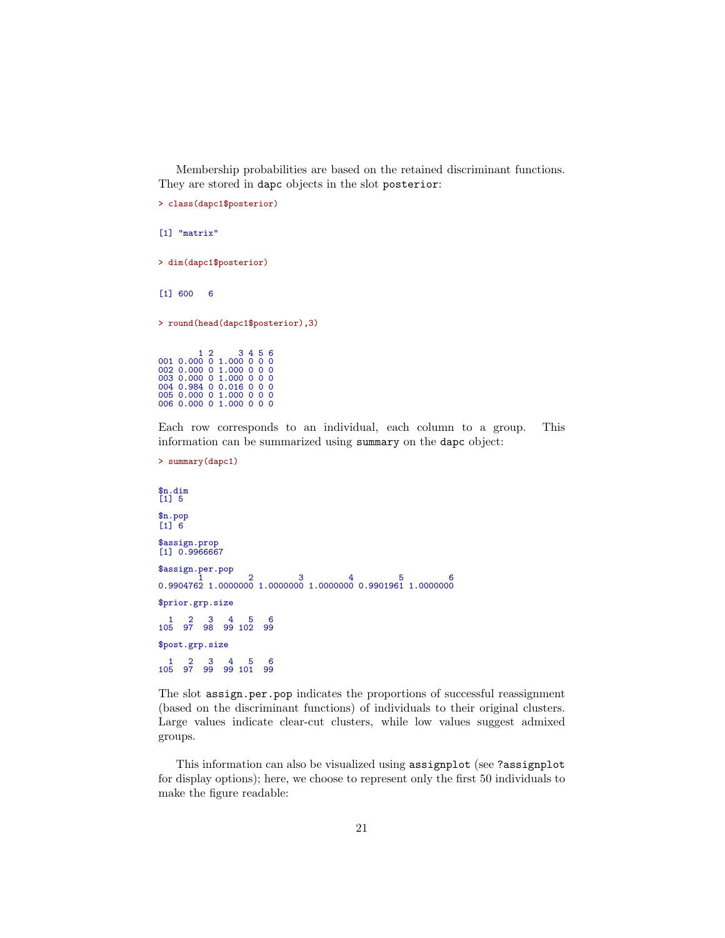Membership probabilities are based on the retained discriminant functions. They are stored in dapc objects in the slot posterior:

```
> class(dapc1$posterior)
[1] "matrix"
> dim(dapc1$posterior)
[1] 600 6
> round(head(dapc1$posterior),3)
1 2 3 4 5 6
001 0.000 0 1.000 0 0 0
002 0.000 0 1.000 0 0 0
003 0.000 0 1.000 0 0 0
004 0.984 0 0.016 0 0 0
005 0.000 0 1.000 0 0 0
006 0.000 0 1.000 0 0 0
```
Each row corresponds to an individual, each column to a group. This information can be summarized using summary on the dapc object:

```
> summary(dapc1)
```

```
$n.dim
[1] 5
$n.pop
[1] 6
$assign.prop
[1] 0.9966667
$assign.per.pop
\begin{array}{cccc} 1 & 1 & 2 & 3 & 4 & 5 & 6 \ 0.9904762 & 1.0000000 & 1.0000000 & 1.0000000 & 0.9901961 & 1.0000000 \end{array}$prior.grp.size
1 2 3 4 5 6
105 97 98 99 102 99
$post.grp.size
1 2 3 4 5 6
105 97 99 99 101 99
```
The slot assign.per.pop indicates the proportions of successful reassignment (based on the discriminant functions) of individuals to their original clusters. Large values indicate clear-cut clusters, while low values suggest admixed groups.

This information can also be visualized using assignplot (see ?assignplot for display options); here, we choose to represent only the first 50 individuals to make the figure readable: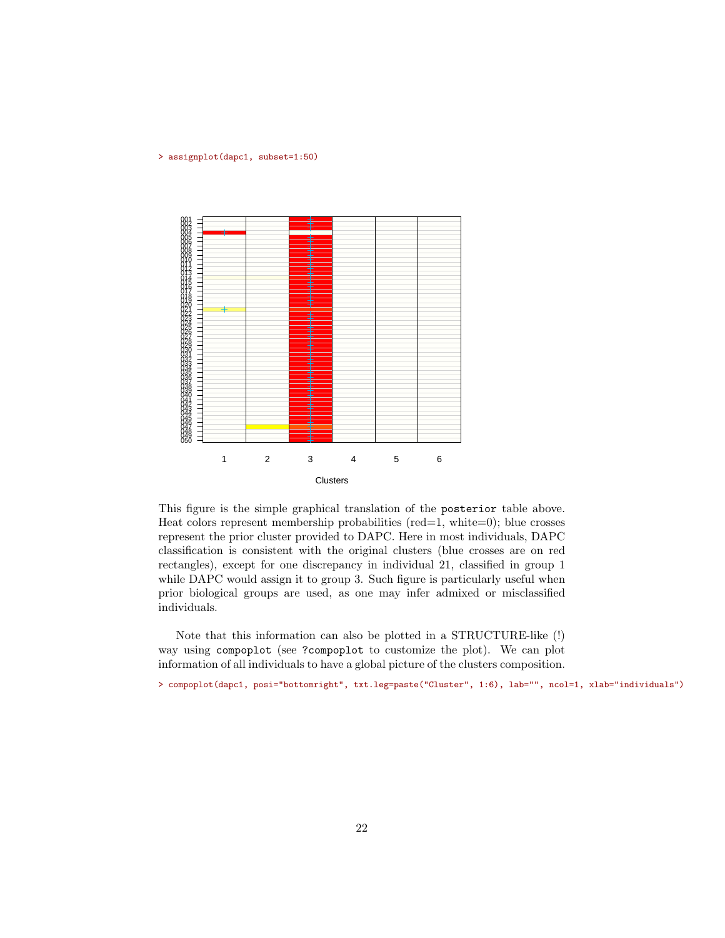#### > assignplot(dapc1, subset=1:50)



This figure is the simple graphical translation of the posterior table above. Heat colors represent membership probabilities ( $red=1$ , white=0); blue crosses represent the prior cluster provided to DAPC. Here in most individuals, DAPC classification is consistent with the original clusters (blue crosses are on red rectangles), except for one discrepancy in individual 21, classified in group 1 while DAPC would assign it to group 3. Such figure is particularly useful when prior biological groups are used, as one may infer admixed or misclassified individuals.

Note that this information can also be plotted in a STRUCTURE-like (!) way using compoplot (see ?compoplot to customize the plot). We can plot information of all individuals to have a global picture of the clusters composition.

> compoplot(dapc1, posi="bottomright", txt.leg=paste("Cluster", 1:6), lab="", ncol=1, xlab="individuals")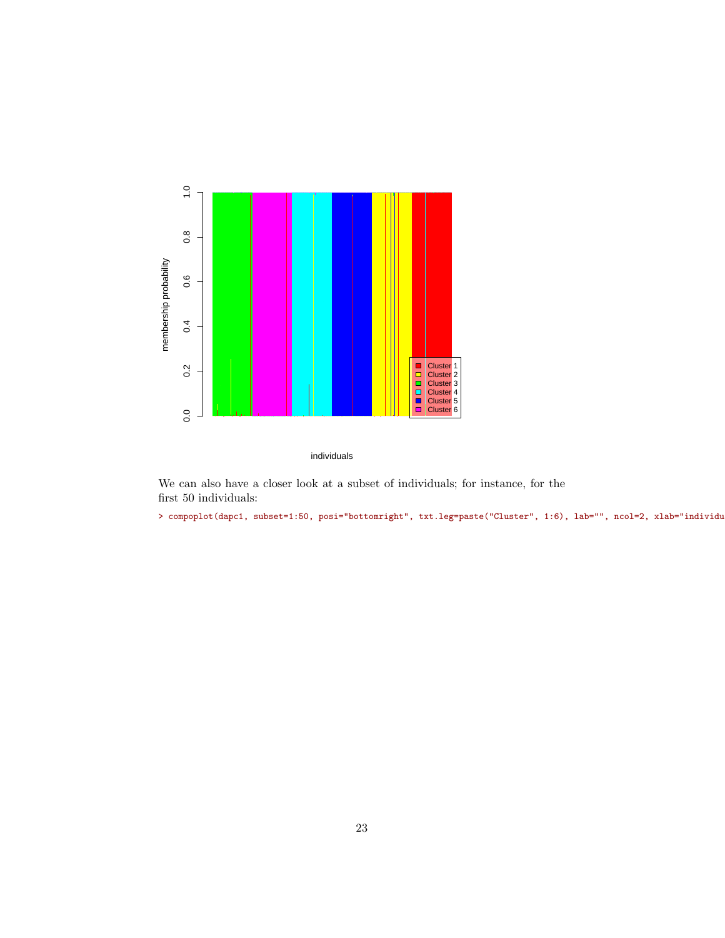

individuals

We can also have a closer look at a subset of individuals; for instance, for the first 50 individuals:

> compoplot(dapc1, subset=1:50, posi="bottomright", txt.leg=paste("Cluster", 1:6), lab="", ncol=2, xlab="individu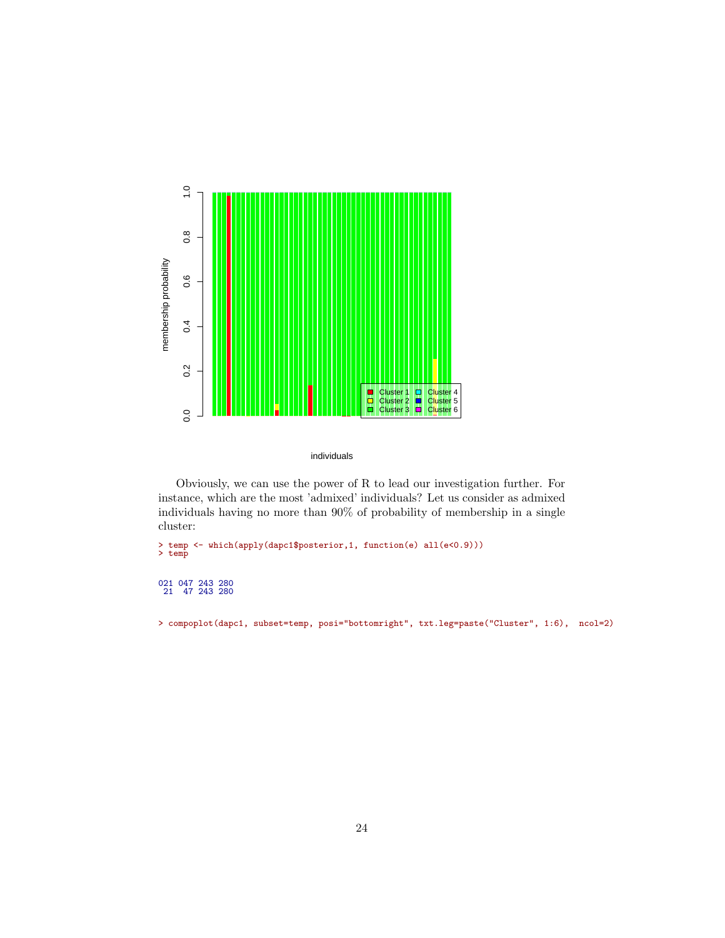

individuals

Obviously, we can use the power of R to lead our investigation further. For instance, which are the most 'admixed' individuals? Let us consider as admixed individuals having no more than 90% of probability of membership in a single cluster:

> temp <- which(apply(dapc1\$posterior,1, function(e) all(e<0.9))) > temp

# 021 047 243 280 21 47 243 280

> compoplot(dapc1, subset=temp, posi="bottomright", txt.leg=paste("Cluster", 1:6), ncol=2)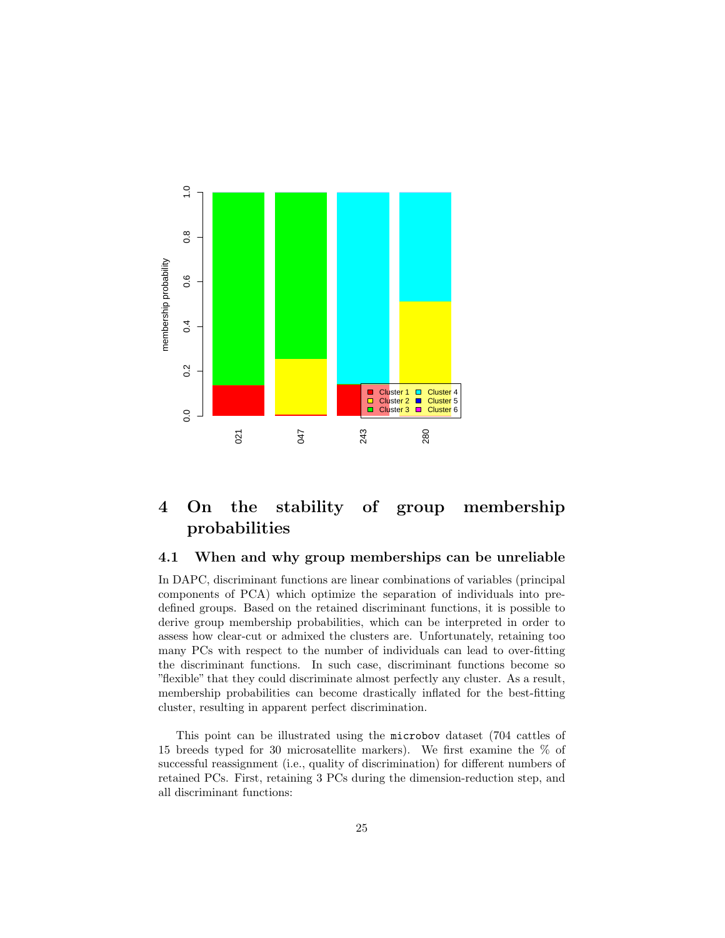

# <span id="page-24-0"></span>4 On the stability of group membership probabilities

### <span id="page-24-1"></span>4.1 When and why group memberships can be unreliable

In DAPC, discriminant functions are linear combinations of variables (principal components of PCA) which optimize the separation of individuals into predefined groups. Based on the retained discriminant functions, it is possible to derive group membership probabilities, which can be interpreted in order to assess how clear-cut or admixed the clusters are. Unfortunately, retaining too many PCs with respect to the number of individuals can lead to over-fitting the discriminant functions. In such case, discriminant functions become so "flexible" that they could discriminate almost perfectly any cluster. As a result, membership probabilities can become drastically inflated for the best-fitting cluster, resulting in apparent perfect discrimination.

This point can be illustrated using the microbov dataset (704 cattles of 15 breeds typed for 30 microsatellite markers). We first examine the % of successful reassignment (i.e., quality of discrimination) for different numbers of retained PCs. First, retaining 3 PCs during the dimension-reduction step, and all discriminant functions: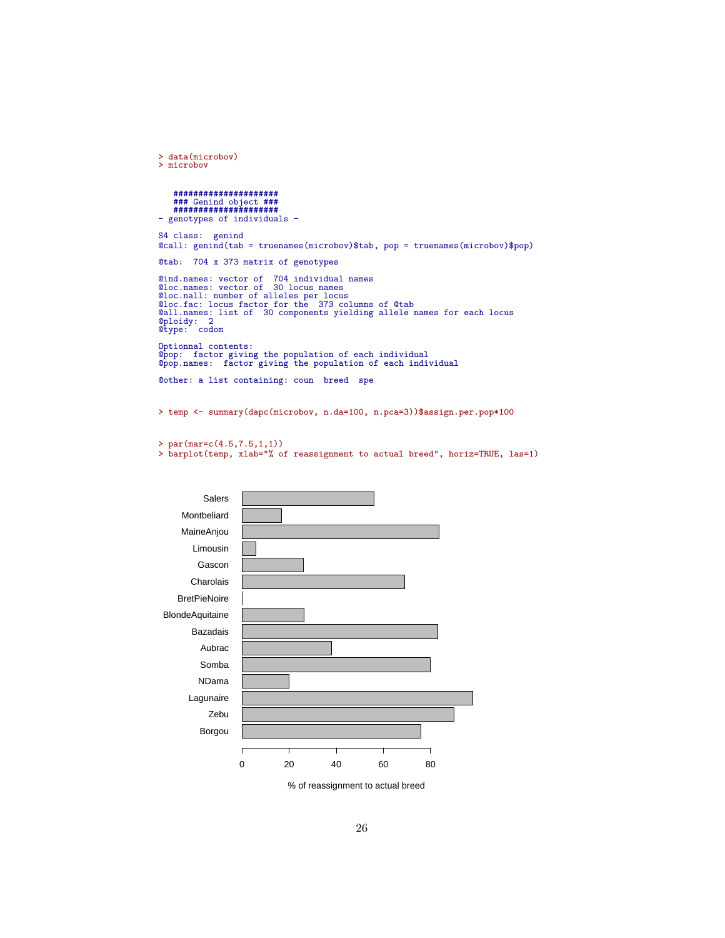```
> data(microbov)
> microbov
    #####################
     ### Genind object ###
#####################
- genotypes of individuals -
S4 class: genind
@call: genind(tab = truenames(microbov)$tab, pop = truenames(microbov)$pop)
@tab: 704 x 373 matrix of genotypes
@ind.names: vector of 704 individual names<br>@loc.names: vector of 30 locus names<br>@loc.names: vector of 30 locus names<br>@loc.nall: number of alleles per locus<br>@loc.fac: locus factor for the 373 columns of @tab<br>@all.names: lis
Optionnal contents:
@pop: factor giving the population of each individual
@pop.names: factor giving the population of each individual
@other: a list containing: coun breed spe
```
> temp <- summary(dapc(microbov, n.da=100, n.pca=3))\$assign.per.pop\*100

```
> par(mar=c(4.5,7.5,1,1))
```
> barplot(temp, xlab="% of reassignment to actual breed", horiz=TRUE, las=1)



% of reassignment to actual breed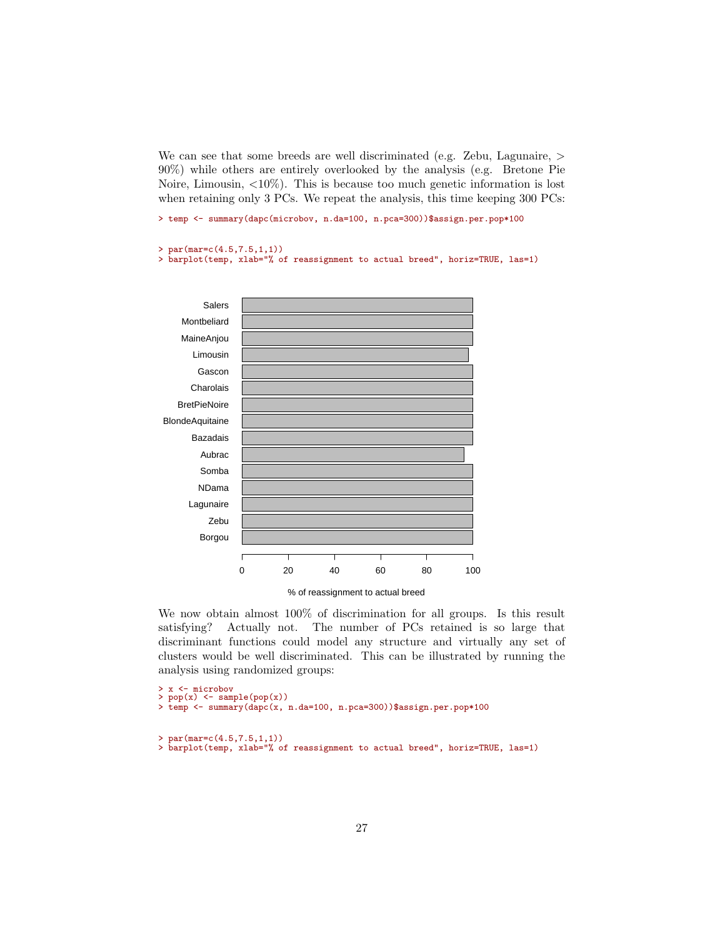We can see that some breeds are well discriminated (e.g. Zebu, Lagunaire,  $>$ 90%) while others are entirely overlooked by the analysis (e.g. Bretone Pie Noire, Limousin,  $\langle 10\% \rangle$ . This is because too much genetic information is lost when retaining only 3 PCs. We repeat the analysis, this time keeping 300 PCs:

> temp <- summary(dapc(microbov, n.da=100, n.pca=300))\$assign.per.pop\*100

```
> par(max=c(4.5,7.5,1,1))
```
analysis using randomized groups:

> barplot(temp, xlab="% of reassignment to actual breed", horiz=TRUE, las=1)



We now obtain almost 100% of discrimination for all groups. Is this result satisfying? Actually not. The number of PCs retained is so large that discriminant functions could model any structure and virtually any set of

clusters would be well discriminated. This can be illustrated by running the

```
> x <- microbov
> pop(x) <- sample(pop(x))
> temp <- summary(dapc(x, n.da=100, n.pca=300))$assign.per.pop*100
> par(max=c(4.5, 7.5, 1, 1))> barplot(temp, xlab="% of reassignment to actual breed", horiz=TRUE, las=1)
```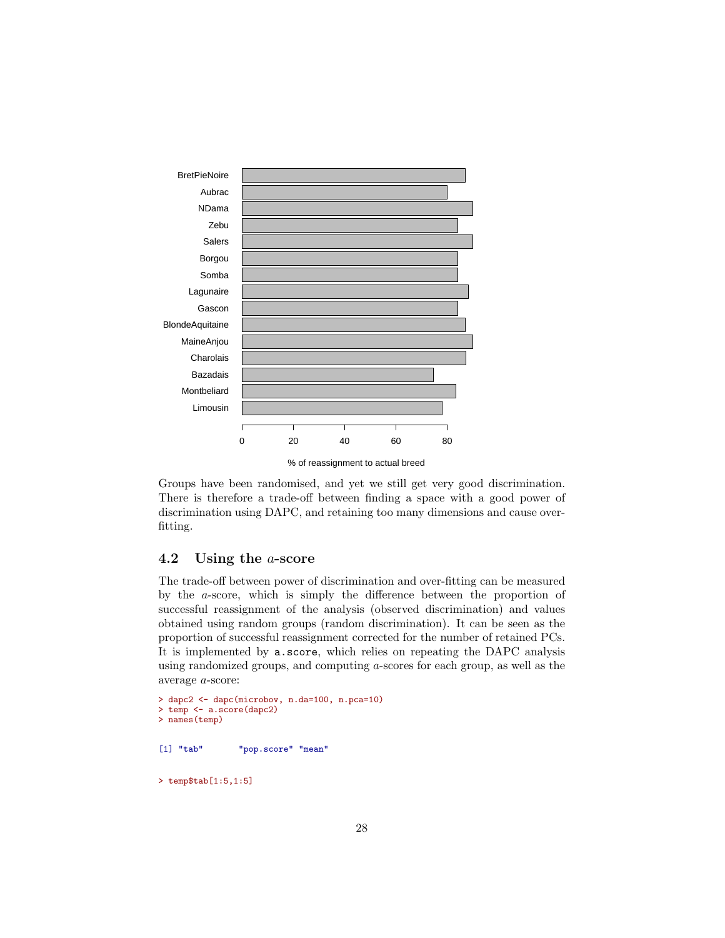

Groups have been randomised, and yet we still get very good discrimination. There is therefore a trade-off between finding a space with a good power of discrimination using DAPC, and retaining too many dimensions and cause overfitting.

## <span id="page-27-0"></span>4.2 Using the a-score

The trade-off between power of discrimination and over-fitting can be measured by the a-score, which is simply the difference between the proportion of successful reassignment of the analysis (observed discrimination) and values obtained using random groups (random discrimination). It can be seen as the proportion of successful reassignment corrected for the number of retained PCs. It is implemented by a.score, which relies on repeating the DAPC analysis using randomized groups, and computing a-scores for each group, as well as the average a-score:

```
> dapc2 <- dapc(microbov, n.da=100, n.pca=10)
> temp <- a.score(dapc2)
> names(temp)
[1] "tab" "pop.score" "mean"
> temp$tab[1:5,1:5]
```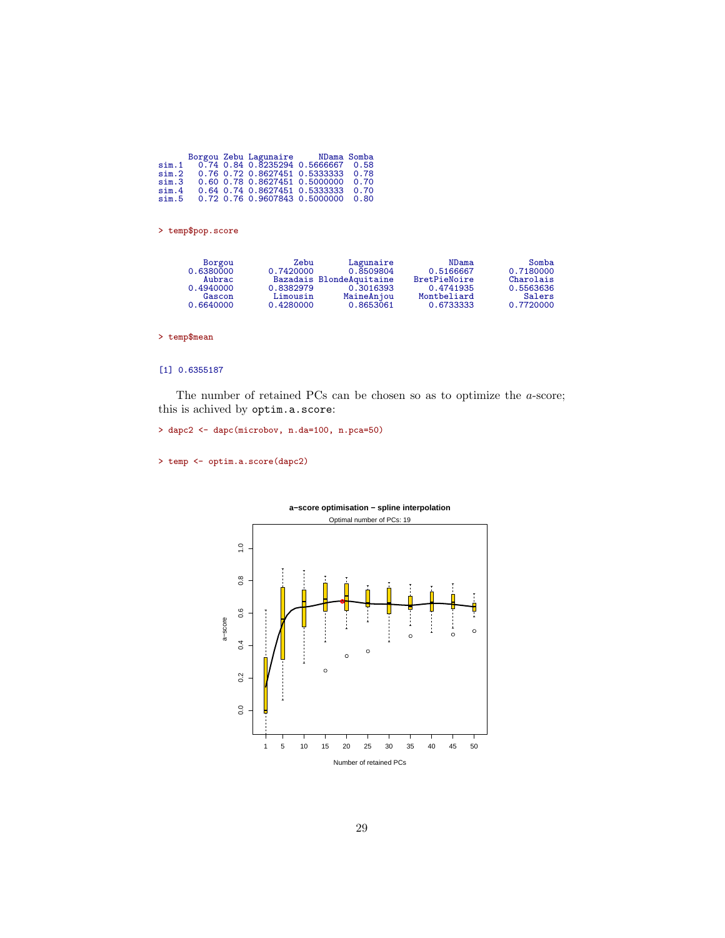|       |  | Borgou Zebu Lagunaire MDama Somba  |      |
|-------|--|------------------------------------|------|
| sim.1 |  | 0.74 0.84 0.8235294 0.5666667 0.58 |      |
| sim.2 |  | 0.76 0.72 0.8627451 0.5333333 0.78 |      |
| sim.3 |  | 0.60 0.78 0.8627451 0.5000000      | 0.70 |
| sim.4 |  | 0.64 0.74 0.8627451 0.5333333 0.70 |      |
| sim.5 |  | 0.72 0.76 0.9607843 0.5000000 0.80 |      |
|       |  |                                    |      |

> temp\$pop.score

| Borgou    | Zebu      | Lagunaire                | NDama        | Somba     |
|-----------|-----------|--------------------------|--------------|-----------|
| 0.6380000 | 0.7420000 | 0.8509804                | 0.5166667    | 0.7180000 |
| Aubrac    |           | Bazadais BlondeAquitaine | BretPieNoire | Charolais |
| 0.4940000 | 0.8382979 | 0.3016393                | 0.4741935    | 0.5563636 |
| Gascon    | Limousin  | MaineAnjou               | Montbeliard  | Salers    |
| 0.6640000 | 0.4280000 | 0.8653061                | 0.6733333    | 0.7720000 |

> temp\$mean

#### [1] 0.6355187

The number of retained PCs can be chosen so as to optimize the a-score; this is achived by optim.a.score:

> dapc2 <- dapc(microbov, n.da=100, n.pca=50)

```
> temp <- optim.a.score(dapc2)
```


# **a−score optimisation − spline interpolation**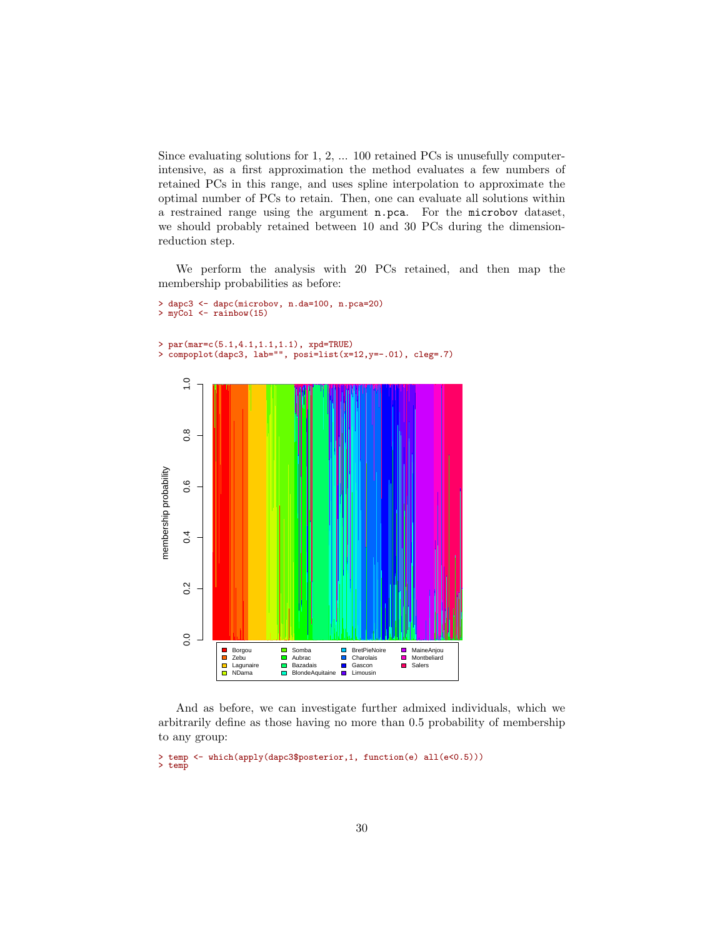Since evaluating solutions for 1, 2, ... 100 retained PCs is unusefully computerintensive, as a first approximation the method evaluates a few numbers of retained PCs in this range, and uses spline interpolation to approximate the optimal number of PCs to retain. Then, one can evaluate all solutions within a restrained range using the argument n.pca. For the microbov dataset, we should probably retained between 10 and 30 PCs during the dimensionreduction step.

We perform the analysis with 20 PCs retained, and then map the membership probabilities as before:

```
> dapc3 <- dapc(microbov, n.da=100, n.pca=20)
> myCol \leq rainbow(15)
```

```
> par(mar=c(5.1,4.1,1.1,1.1), xpd=TRUE)
> compoplot(dapc3, lab="", posi=list(x=12,y=-.01), cleg=.7)
```


And as before, we can investigate further admixed individuals, which we arbitrarily define as those having no more than 0.5 probability of membership to any group:

```
> temp <- which(apply(dapc3$posterior,1, function(e) all(e<0.5)))
> temp
```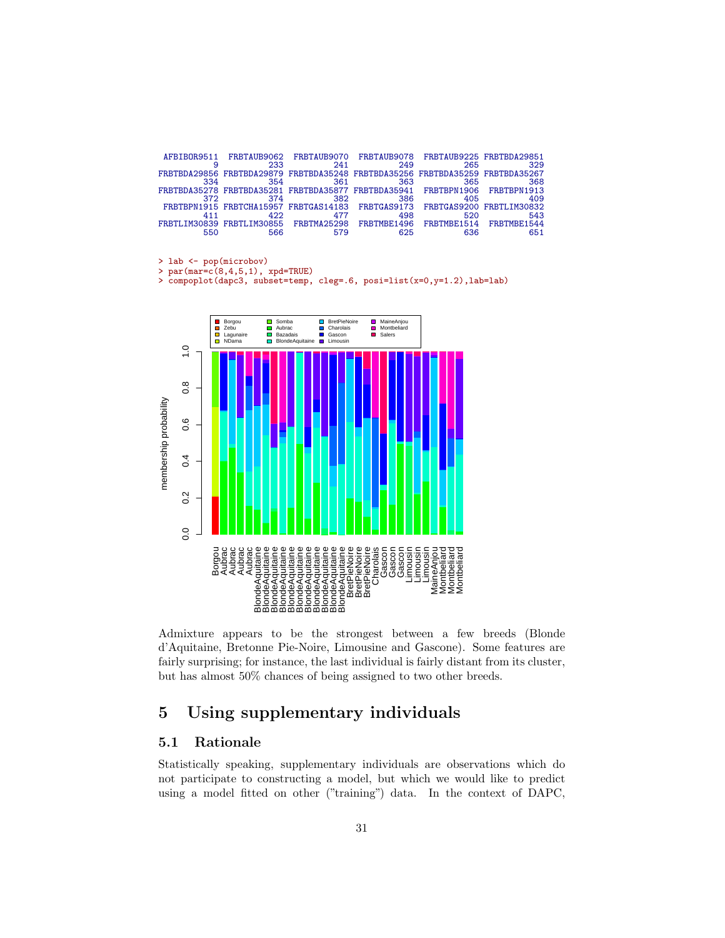|     | AFBIBOR9511 FRBTAUB9062 FRBTAUB9070 FRBTAUB9078 FRBTAUB9225 FRBTBDA29851      |     |     |     |     |
|-----|-------------------------------------------------------------------------------|-----|-----|-----|-----|
|     | 233                                                                           | 241 | 249 | 265 | 329 |
|     | FRBTBDA29856 FRBTBDA29879 FRBTBDA35248 FRBTBDA35256 FRBTBDA35259 FRBTBDA35267 |     |     |     |     |
| 334 | 354                                                                           | 361 | 363 | 365 | 368 |
|     | FRBTBDA35278 FRBTBDA35281 FRBTBDA35877 FRBTBDA35941 FRBTBPN1906 FRBTBPN1913   |     |     |     |     |
| 372 | 374                                                                           | 382 | 386 | 405 | 409 |
|     | FRBTBPN1915 FRBTCHA15957 FRBTGAS14183 FRBTGAS9173 FRBTGAS9200 FRBTLIM30832    |     |     |     |     |
|     | 422                                                                           | 477 | 498 | 520 | 543 |
|     | FRBTLIM30839 FRBTLIM30855 FRBTMA25298 FRBTMBE1496 FRBTMBE1514 FRBTMBE1544     |     |     |     |     |
|     | 566                                                                           |     | 625 | 636 | 651 |

> lab <- pop(microbov)

> par(mar= $c(8,4,5,1)$ , xpd=TRUE)<br>> compoplot(dapc3, subset=temp,

> compoplot(dapc3, subset=temp, cleg=.6, posi=list(x=0,y=1.2),lab=lab)



Admixture appears to be the strongest between a few breeds (Blonde d'Aquitaine, Bretonne Pie-Noire, Limousine and Gascone). Some features are fairly surprising; for instance, the last individual is fairly distant from its cluster, but has almost 50% chances of being assigned to two other breeds.

# <span id="page-30-0"></span>5 Using supplementary individuals

## <span id="page-30-1"></span>5.1 Rationale

Statistically speaking, supplementary individuals are observations which do not participate to constructing a model, but which we would like to predict using a model fitted on other ("training") data. In the context of DAPC,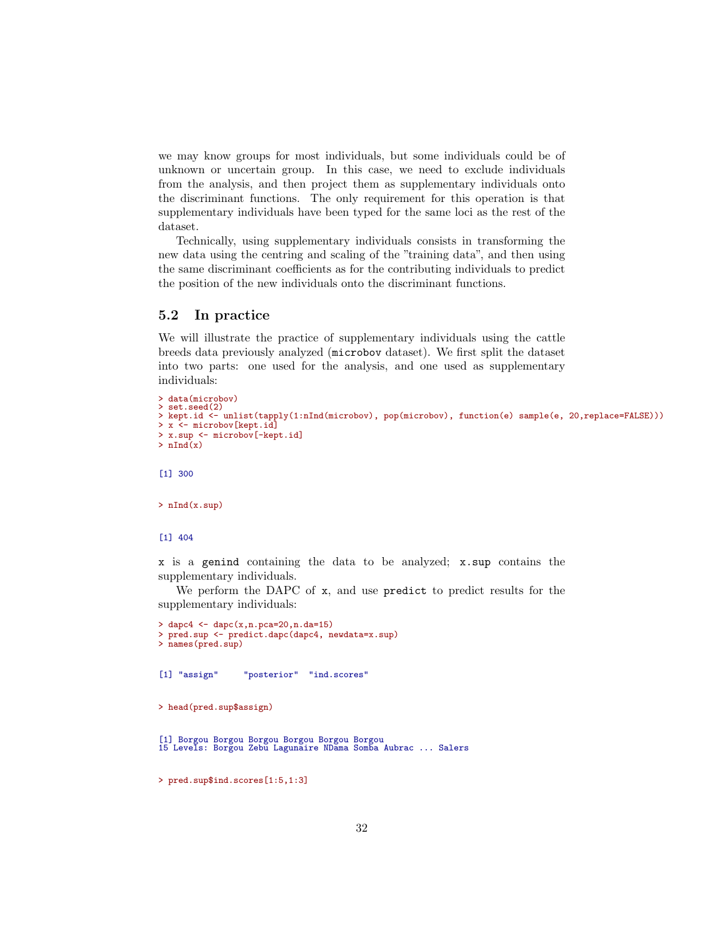we may know groups for most individuals, but some individuals could be of unknown or uncertain group. In this case, we need to exclude individuals from the analysis, and then project them as supplementary individuals onto the discriminant functions. The only requirement for this operation is that supplementary individuals have been typed for the same loci as the rest of the dataset.

Technically, using supplementary individuals consists in transforming the new data using the centring and scaling of the "training data", and then using the same discriminant coefficients as for the contributing individuals to predict the position of the new individuals onto the discriminant functions.

### <span id="page-31-0"></span>5.2 In practice

We will illustrate the practice of supplementary individuals using the cattle breeds data previously analyzed (microbov dataset). We first split the dataset into two parts: one used for the analysis, and one used as supplementary individuals:

```
> data(microbov)
> set.seed(2)
> kept.id <- unlist(tapply(1:nInd(microbov), pop(microbov), function(e) sample(e, 20,replace=FALSE)))
> x <- microbov[kept.id]
> x.sup <- microbov[-kept.id]
> nInd(x)
```
[1] 300

> nInd(x.sup)

[1] 404

x is a genind containing the data to be analyzed; x.sup contains the supplementary individuals.

We perform the DAPC of x, and use predict to predict results for the supplementary individuals:

```
> dapc4 <- dapc(x, n. pca=20, n. da=15)> pred.sup <- predict.dapc(dapc4, newdata=x.sup)
> names(pred.sup)
[1] "assign" "posterior" "ind.scores"
> head(pred.sup$assign)
```

```
[1] Borgou Borgou Borgou Borgou Borgou Borgou
15 Levels: Borgou Zebu Lagunaire NDama Somba Aubrac ... Salers
```
> pred.sup\$ind.scores[1:5,1:3]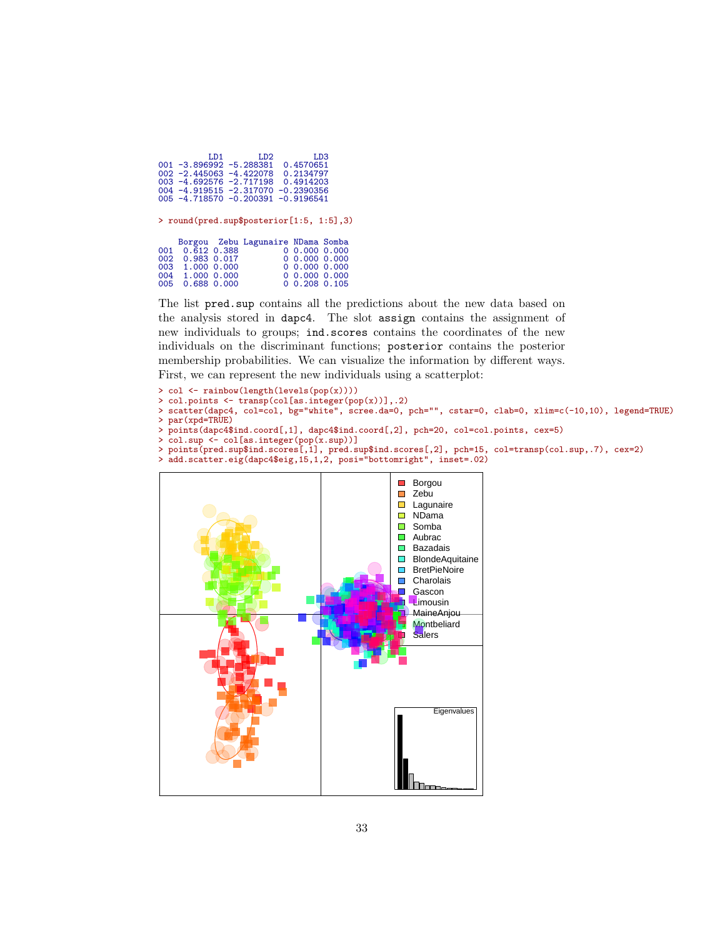| LD <sub>2</sub><br>LD <sub>3</sub><br>LD1<br>$001 - 3.896992 - 5.288381$<br>0.4570651<br>$002 - 2.445063 - 4.422078$<br>0.2134797<br>$003 - 4.692576 - 2.717198$<br>0.4914203<br>$004 - 4.919515 - 2.317070 - 0.2390356$<br>$005 - 4.718570 - 0.200391$<br>$-0.9196541$ |
|-------------------------------------------------------------------------------------------------------------------------------------------------------------------------------------------------------------------------------------------------------------------------|
| > round(pred.sup\$posterior[1:5, 1:5],3)                                                                                                                                                                                                                                |
| Borgou Zebu Lagunaire NDama Somba<br>0.612.0.388<br>0, 0.000, 0.000<br>001<br>0, 0.000, 0.000<br>002<br>$0.983$ $0.017$<br>0, 0.000, 0.000<br>003<br>1,000 0,000<br>0, 0.000, 0.000<br>004<br>1.000 0.000<br>0, 0.208, 0.105<br>0.688 0.000<br>005                      |

The list pred.sup contains all the predictions about the new data based on the analysis stored in dapc4. The slot assign contains the assignment of new individuals to groups; ind.scores contains the coordinates of the new individuals on the discriminant functions; posterior contains the posterior membership probabilities. We can visualize the information by different ways. First, we can represent the new individuals using a scatterplot:

```
> col <- rainbow(length(levels(pop(x))))
> col.points <- transp(col[as.integer(pop(x))],.2)
> scatter(dapc4, col=col, bg="white", scree.da=0, pch="", cstar=0, clab=0, xlim=c(-10,10), legend=TRUE)
> par(xpd=TRUE)
> points(dapc4$ind.coord[,1], dapc4$ind.coord[,2], pch=20, col=col.points, cex=5)
> col.sup <- col[as.integer(pop(x.sup))]
> points(pred.sup$ind.scores[,1], pred.sup$ind.scores[,2], pch=15, col=transp(col.sup,.7), cex=2)
> add.scatter.eig(dapc4$eig,15,1,2, posi="bottomright", inset=.02)
```
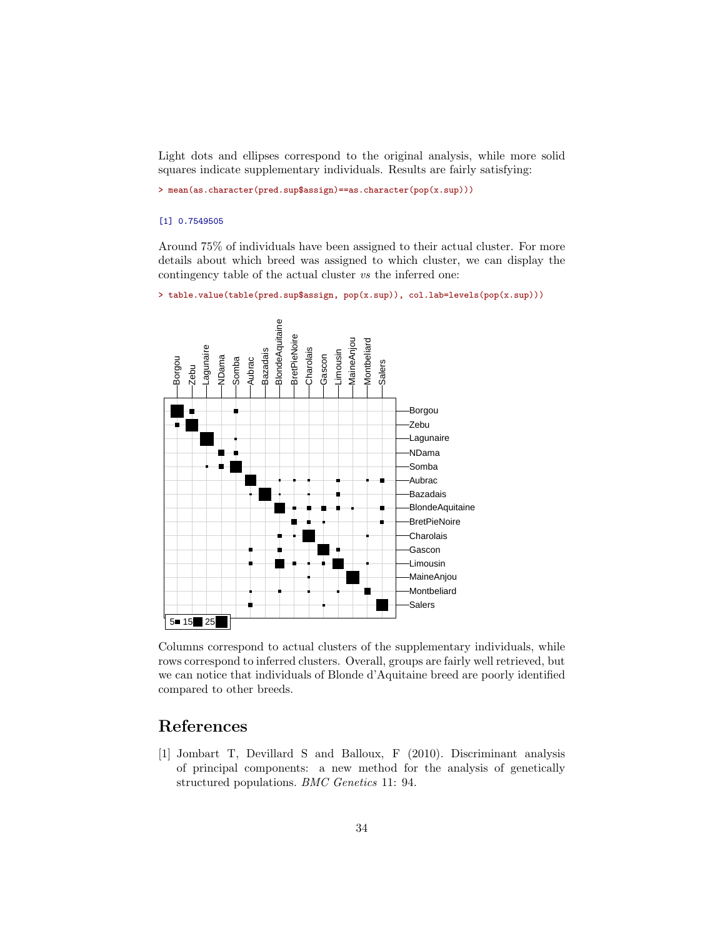Light dots and ellipses correspond to the original analysis, while more solid squares indicate supplementary individuals. Results are fairly satisfying:

> mean(as.character(pred.sup\$assign)==as.character(pop(x.sup)))

#### [1] 0.7549505

Around 75% of individuals have been assigned to their actual cluster. For more details about which breed was assigned to which cluster, we can display the contingency table of the actual cluster vs the inferred one:

```
> table.value(table(pred.sup$assign, pop(x.sup)), col.lab=levels(pop(x.sup)))
```


Columns correspond to actual clusters of the supplementary individuals, while rows correspond to inferred clusters. Overall, groups are fairly well retrieved, but we can notice that individuals of Blonde d'Aquitaine breed are poorly identified compared to other breeds.

## References

<span id="page-33-0"></span>[1] Jombart T, Devillard S and Balloux, F (2010). Discriminant analysis of principal components: a new method for the analysis of genetically structured populations. BMC Genetics 11: 94.